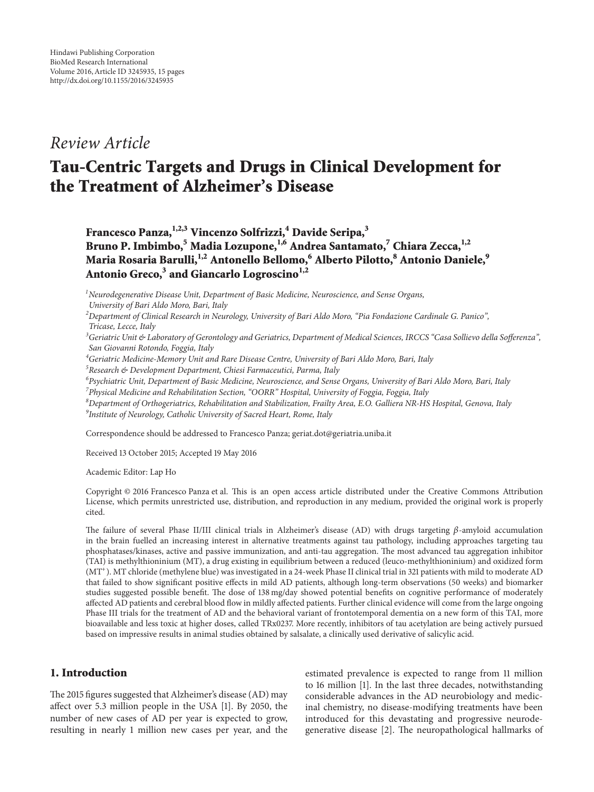## *Review Article*

# **Tau-Centric Targets and Drugs in Clinical Development for the Treatment of Alzheimer's Disease**

**Francesco Panza,1,2,3 Vincenzo Solfrizzi,4 Davide Seripa,<sup>3</sup> Bruno P. Imbimbo,<sup>5</sup> Madia Lozupone,1,6 Andrea Santamato,<sup>7</sup> Chiara Zecca,1,2 Maria Rosaria Barulli,1,2 Antonello Bellomo,<sup>6</sup> Alberto Pilotto,<sup>8</sup> Antonio Daniele,9** Antonio Greco,<sup>3</sup> and Giancarlo Logroscino<sup>1,2</sup>

*1 Neurodegenerative Disease Unit, Department of Basic Medicine, Neuroscience, and Sense Organs, University of Bari Aldo Moro, Bari, Italy*

*2 Department of Clinical Research in Neurology, University of Bari Aldo Moro, "Pia Fondazione Cardinale G. Panico", Tricase, Lecce, Italy*

*3 Geriatric Unit & Laboratory of Gerontology and Geriatrics, Department of Medical Sciences, IRCCS "Casa Sollievo della Sofferenza", San Giovanni Rotondo, Foggia, Italy*

*4 Geriatric Medicine-Memory Unit and Rare Disease Centre, University of Bari Aldo Moro, Bari, Italy*

*5 Research & Development Department, Chiesi Farmaceutici, Parma, Italy*

*6 Psychiatric Unit, Department of Basic Medicine, Neuroscience, and Sense Organs, University of Bari Aldo Moro, Bari, Italy 7 Physical Medicine and Rehabilitation Section, "OORR" Hospital, University of Foggia, Foggia, Italy*

*8 Department of Orthogeriatrics, Rehabilitation and Stabilization, Frailty Area, E.O. Galliera NR-HS Hospital, Genova, Italy 9 Institute of Neurology, Catholic University of Sacred Heart, Rome, Italy*

Correspondence should be addressed to Francesco Panza; geriat.dot@geriatria.uniba.it

Received 13 October 2015; Accepted 19 May 2016

Academic Editor: Lap Ho

Copyright © 2016 Francesco Panza et al. This is an open access article distributed under the Creative Commons Attribution License, which permits unrestricted use, distribution, and reproduction in any medium, provided the original work is properly cited.

The failure of several Phase II/III clinical trials in Alzheimer's disease (AD) with drugs targeting  $\beta$ -amyloid accumulation in the brain fuelled an increasing interest in alternative treatments against tau pathology, including approaches targeting tau phosphatases/kinases, active and passive immunization, and anti-tau aggregation. The most advanced tau aggregation inhibitor (TAI) is methylthioninium (MT), a drug existing in equilibrium between a reduced (leuco-methylthioninium) and oxidized form (MT<sup>+</sup>). MT chloride (methylene blue) was investigated in a 24-week Phase II clinical trial in 321 patients with mild to moderate AD that failed to show significant positive effects in mild AD patients, although long-term observations (50 weeks) and biomarker studies suggested possible benefit. The dose of 138 mg/day showed potential benefits on cognitive performance of moderately affected AD patients and cerebral blood flow in mildly affected patients. Further clinical evidence will come from the large ongoing Phase III trials for the treatment of AD and the behavioral variant of frontotemporal dementia on a new form of this TAI, more bioavailable and less toxic at higher doses, called TRx0237. More recently, inhibitors of tau acetylation are being actively pursued based on impressive results in animal studies obtained by salsalate, a clinically used derivative of salicylic acid.

## **1. Introduction**

The 2015 figures suggested that Alzheimer's disease (AD) may affect over 5.3 million people in the USA [1]. By 2050, the number of new cases of AD per year is expected to grow, resulting in nearly 1 million new cases per year, and the estimated prevalence is expected to range from 11 million to 16 million [1]. In the last three decades, notwithstanding considerable advances in the AD neurobiology and medicinal chemistry, no disease-modifying treatments have been introduced for this devastating and progressive neurodegenerative disease [2]. The neuropathological hallmarks of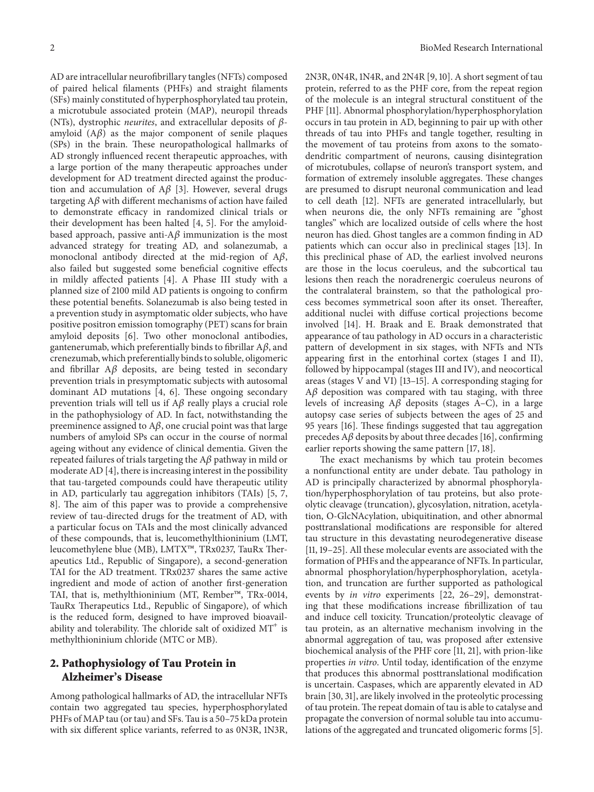AD are intracellular neurofibrillary tangles (NFTs) composed of paired helical filaments (PHFs) and straight filaments (SFs) mainly constituted of hyperphosphorylated tau protein, a microtubule associated protein (MAP), neuropil threads (NTs), dystrophic *neurites*, and extracellular deposits of  $\beta$ amyloid  $(A\beta)$  as the major component of senile plaques (SPs) in the brain. These neuropathological hallmarks of AD strongly influenced recent therapeutic approaches, with a large portion of the many therapeutic approaches under development for AD treatment directed against the production and accumulation of  $A\beta$  [3]. However, several drugs targeting  $A\beta$  with different mechanisms of action have failed to demonstrate efficacy in randomized clinical trials or their development has been halted [4, 5]. For the amyloidbased approach, passive anti- $A\beta$  immunization is the most advanced strategy for treating AD, and solanezumab, a monoclonal antibody directed at the mid-region of  $A\beta$ , also failed but suggested some beneficial cognitive effects in mildly affected patients [4]. A Phase III study with a planned size of 2100 mild AD patients is ongoing to confirm these potential benefits. Solanezumab is also being tested in a prevention study in asymptomatic older subjects, who have positive positron emission tomography (PET) scans for brain amyloid deposits [6]. Two other monoclonal antibodies, gantenerumab, which preferentially binds to fibrillar  $A\beta$ , and crenezumab, which preferentially binds to soluble, oligomeric and fibrillar  $A\beta$  deposits, are being tested in secondary prevention trials in presymptomatic subjects with autosomal dominant AD mutations [4, 6]. These ongoing secondary prevention trials will tell us if  $A\beta$  really plays a crucial role in the pathophysiology of AD. In fact, notwithstanding the preeminence assigned to  $A\beta$ , one crucial point was that large numbers of amyloid SPs can occur in the course of normal ageing without any evidence of clinical dementia. Given the repeated failures of trials targeting the  $A\beta$  pathway in mild or moderate AD [4], there is increasing interest in the possibility that tau-targeted compounds could have therapeutic utility in AD, particularly tau aggregation inhibitors (TAIs) [5, 7, 8]. The aim of this paper was to provide a comprehensive review of tau-directed drugs for the treatment of AD, with a particular focus on TAIs and the most clinically advanced of these compounds, that is, leucomethylthioninium (LMT, leucomethylene blue (MB), LMTX™, TRx0237, TauRx Therapeutics Ltd., Republic of Singapore), a second-generation TAI for the AD treatment. TRx0237 shares the same active ingredient and mode of action of another first-generation TAI, that is, methylthioninium (MT, Rember™, TRx-0014, TauRx Therapeutics Ltd., Republic of Singapore), of which is the reduced form, designed to have improved bioavailability and tolerability. The chloride salt of oxidized  $MT^+$  is methylthioninium chloride (MTC or MB).

#### **2. Pathophysiology of Tau Protein in Alzheimer's Disease**

Among pathological hallmarks of AD, the intracellular NFTs contain two aggregated tau species, hyperphosphorylated PHFs of MAP tau (or tau) and SFs. Tau is a 50–75 kDa protein with six different splice variants, referred to as 0N3R, 1N3R, 2N3R, 0N4R, 1N4R, and 2N4R [9, 10]. A short segment of tau protein, referred to as the PHF core, from the repeat region of the molecule is an integral structural constituent of the PHF [11]. Abnormal phosphorylation/hyperphosphorylation occurs in tau protein in AD, beginning to pair up with other threads of tau into PHFs and tangle together, resulting in the movement of tau proteins from axons to the somatodendritic compartment of neurons, causing disintegration of microtubules, collapse of neuron's transport system, and formation of extremely insoluble aggregates. These changes are presumed to disrupt neuronal communication and lead to cell death [12]. NFTs are generated intracellularly, but when neurons die, the only NFTs remaining are "ghost tangles" which are localized outside of cells where the host neuron has died. Ghost tangles are a common finding in AD patients which can occur also in preclinical stages [13]. In this preclinical phase of AD, the earliest involved neurons are those in the locus coeruleus, and the subcortical tau lesions then reach the noradrenergic coeruleus neurons of the contralateral brainstem, so that the pathological process becomes symmetrical soon after its onset. Thereafter, additional nuclei with diffuse cortical projections become involved [14]. H. Braak and E. Braak demonstrated that appearance of tau pathology in AD occurs in a characteristic pattern of development in six stages, with NFTs and NTs appearing first in the entorhinal cortex (stages I and II), followed by hippocampal (stages III and IV), and neocortical areas (stages V and VI) [13–15]. A corresponding staging for  $A\beta$  deposition was compared with tau staging, with three levels of increasing  $A\beta$  deposits (stages A–C), in a large autopsy case series of subjects between the ages of 25 and 95 years [16]. These findings suggested that tau aggregation precedes  $A\beta$  deposits by about three decades [16], confirming earlier reports showing the same pattern [17, 18].

The exact mechanisms by which tau protein becomes a nonfunctional entity are under debate. Tau pathology in AD is principally characterized by abnormal phosphorylation/hyperphosphorylation of tau proteins, but also proteolytic cleavage (truncation), glycosylation, nitration, acetylation, O-GlcNAcylation, ubiquitination, and other abnormal posttranslational modifications are responsible for altered tau structure in this devastating neurodegenerative disease [11, 19–25]. All these molecular events are associated with the formation of PHFs and the appearance of NFTs. In particular, abnormal phosphorylation/hyperphosphorylation, acetylation, and truncation are further supported as pathological events by *in vitro* experiments [22, 26–29], demonstrating that these modifications increase fibrillization of tau and induce cell toxicity. Truncation/proteolytic cleavage of tau protein, as an alternative mechanism involving in the abnormal aggregation of tau, was proposed after extensive biochemical analysis of the PHF core [11, 21], with prion-like properties *in vitro*. Until today, identification of the enzyme that produces this abnormal posttranslational modification is uncertain. Caspases, which are apparently elevated in AD brain [30, 31], are likely involved in the proteolytic processing of tau protein.The repeat domain of tau is able to catalyse and propagate the conversion of normal soluble tau into accumulations of the aggregated and truncated oligomeric forms [5].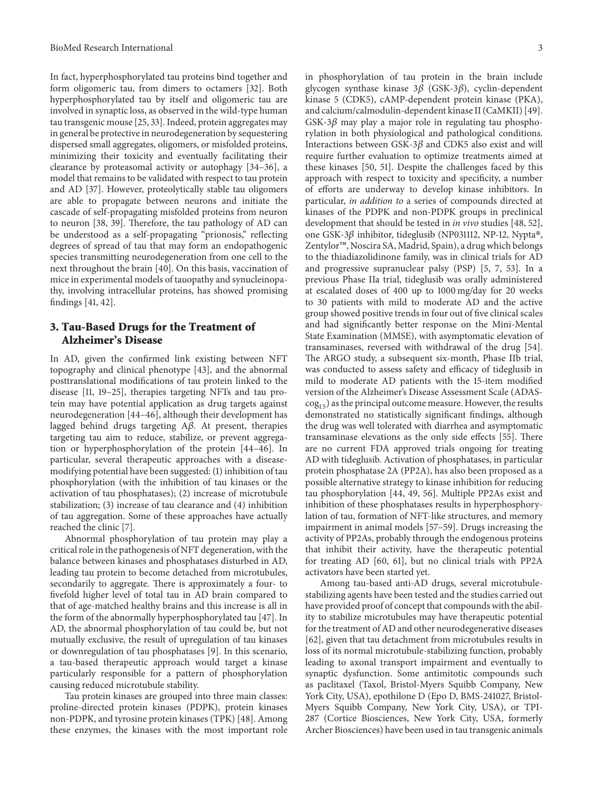In fact, hyperphosphorylated tau proteins bind together and form oligomeric tau, from dimers to octamers [32]. Both hyperphosphorylated tau by itself and oligomeric tau are involved in synaptic loss, as observed in the wild-type human tau transgenic mouse [25, 33]. Indeed, protein aggregates may in general be protective in neurodegeneration by sequestering dispersed small aggregates, oligomers, or misfolded proteins, minimizing their toxicity and eventually facilitating their clearance by proteasomal activity or autophagy [34–36], a model that remains to be validated with respect to tau protein and AD [37]. However, proteolytically stable tau oligomers are able to propagate between neurons and initiate the cascade of self-propagating misfolded proteins from neuron to neuron [38, 39]. Therefore, the tau pathology of AD can be understood as a self-propagating "prionosis," reflecting degrees of spread of tau that may form an endopathogenic species transmitting neurodegeneration from one cell to the next throughout the brain [40]. On this basis, vaccination of mice in experimental models of tauopathy and synucleinopathy, involving intracellular proteins, has showed promising findings [41, 42].

#### **3. Tau-Based Drugs for the Treatment of Alzheimer's Disease**

In AD, given the confirmed link existing between NFT topography and clinical phenotype [43], and the abnormal posttranslational modifications of tau protein linked to the disease [11, 19–25], therapies targeting NFTs and tau protein may have potential application as drug targets against neurodegeneration [44–46], although their development has lagged behind drugs targeting  $A\beta$ . At present, therapies targeting tau aim to reduce, stabilize, or prevent aggregation or hyperphosphorylation of the protein [44–46]. In particular, several therapeutic approaches with a diseasemodifying potential have been suggested: (1) inhibition of tau phosphorylation (with the inhibition of tau kinases or the activation of tau phosphatases); (2) increase of microtubule stabilization; (3) increase of tau clearance and (4) inhibition of tau aggregation. Some of these approaches have actually reached the clinic [7].

Abnormal phosphorylation of tau protein may play a critical role in the pathogenesis of NFT degeneration, with the balance between kinases and phosphatases disturbed in AD, leading tau protein to become detached from microtubules, secondarily to aggregate. There is approximately a four- to fivefold higher level of total tau in AD brain compared to that of age-matched healthy brains and this increase is all in the form of the abnormally hyperphosphorylated tau [47]. In AD, the abnormal phosphorylation of tau could be, but not mutually exclusive, the result of upregulation of tau kinases or downregulation of tau phosphatases [9]. In this scenario, a tau-based therapeutic approach would target a kinase particularly responsible for a pattern of phosphorylation causing reduced microtubule stability.

Tau protein kinases are grouped into three main classes: proline-directed protein kinases (PDPK), protein kinases non-PDPK, and tyrosine protein kinases (TPK) [48]. Among these enzymes, the kinases with the most important role

in phosphorylation of tau protein in the brain include glycogen synthase kinase  $3\beta$  (GSK-3 $\beta$ ), cyclin-dependent kinase 5 (CDK5), cAMP-dependent protein kinase (PKA), and calcium/calmodulin-dependent kinase II (CaMKII) [49]. GSK-3 $\beta$  may play a major role in regulating tau phosphorylation in both physiological and pathological conditions. Interactions between GSK-3 $\beta$  and CDK5 also exist and will require further evaluation to optimize treatments aimed at these kinases [50, 51]. Despite the challenges faced by this approach with respect to toxicity and specificity, a number of efforts are underway to develop kinase inhibitors. In particular, *in addition to* a series of compounds directed at kinases of the PDPK and non-PDPK groups in preclinical development that should be tested in *in vivo* studies [48, 52], one GSK-3 $\beta$  inhibitor, tideglusib (NP031112, NP-12, Nypta®, Zentylor™, Noscira SA, Madrid, Spain), a drug which belongs to the thiadiazolidinone family, was in clinical trials for AD and progressive supranuclear palsy (PSP) [5, 7, 53]. In a previous Phase IIa trial, tideglusib was orally administered at escalated doses of 400 up to 1000 mg/day for 20 weeks to 30 patients with mild to moderate AD and the active group showed positive trends in four out of five clinical scales and had significantly better response on the Mini-Mental State Examination (MMSE), with asymptomatic elevation of transaminases, reversed with withdrawal of the drug [54]. The ARGO study, a subsequent six-month, Phase IIb trial, was conducted to assess safety and efficacy of tideglusib in mild to moderate AD patients with the 15-item modified version of the Alzheimer's Disease Assessment Scale (ADAS- $\cos_{15}$ ) as the principal outcome measure. However, the results demonstrated no statistically significant findings, although the drug was well tolerated with diarrhea and asymptomatic transaminase elevations as the only side effects [55]. There are no current FDA approved trials ongoing for treating AD with tideglusib. Activation of phosphatases, in particular protein phosphatase 2A (PP2A), has also been proposed as a possible alternative strategy to kinase inhibition for reducing tau phosphorylation [44, 49, 56]. Multiple PP2As exist and inhibition of these phosphatases results in hyperphosphorylation of tau, formation of NFT-like structures, and memory impairment in animal models [57–59]. Drugs increasing the activity of PP2As, probably through the endogenous proteins that inhibit their activity, have the therapeutic potential for treating AD [60, 61], but no clinical trials with PP2A activators have been started yet.

Among tau-based anti-AD drugs, several microtubulestabilizing agents have been tested and the studies carried out have provided proof of concept that compounds with the ability to stabilize microtubules may have therapeutic potential for the treatment of AD and other neurodegenerative diseases [62], given that tau detachment from microtubules results in loss of its normal microtubule-stabilizing function, probably leading to axonal transport impairment and eventually to synaptic dysfunction. Some antimitotic compounds such as paclitaxel (Taxol, Bristol-Myers Squibb Company, New York City, USA), epothilone D (Epo D, BMS-241027, Bristol-Myers Squibb Company, New York City, USA), or TPI-287 (Cortice Biosciences, New York City, USA, formerly Archer Biosciences) have been used in tau transgenic animals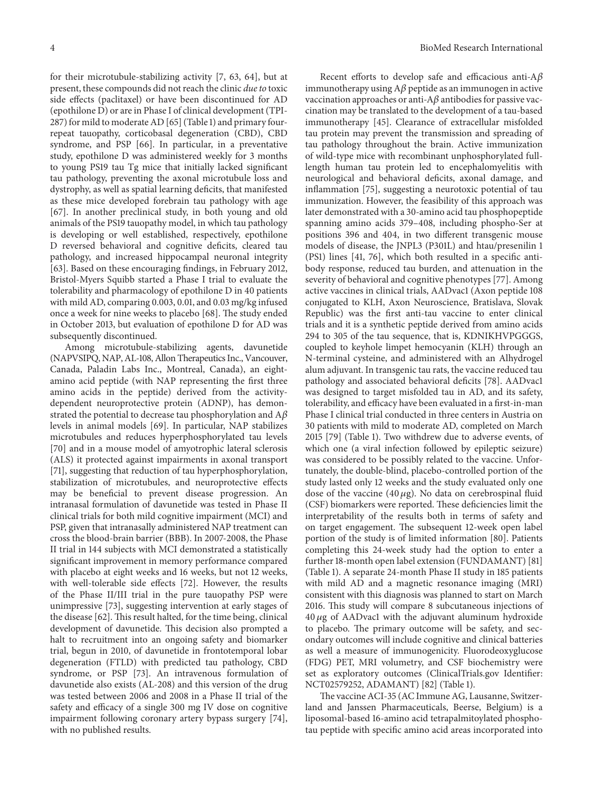for their microtubule-stabilizing activity [7, 63, 64], but at present, these compounds did not reach the clinic *due to* toxic side effects (paclitaxel) or have been discontinued for AD (epothilone D) or are in Phase I of clinical development (TPI-287) for mild to moderate AD [65] (Table 1) and primary fourrepeat tauopathy, corticobasal degeneration (CBD), CBD syndrome, and PSP [66]. In particular, in a preventative study, epothilone D was administered weekly for 3 months to young PS19 tau Tg mice that initially lacked significant tau pathology, preventing the axonal microtubule loss and dystrophy, as well as spatial learning deficits, that manifested as these mice developed forebrain tau pathology with age [67]. In another preclinical study, in both young and old animals of the PS19 tauopathy model, in which tau pathology is developing or well established, respectively, epothilone D reversed behavioral and cognitive deficits, cleared tau pathology, and increased hippocampal neuronal integrity [63]. Based on these encouraging findings, in February 2012, Bristol-Myers Squibb started a Phase I trial to evaluate the tolerability and pharmacology of epothilone D in 40 patients with mild AD, comparing 0.003, 0.01, and 0.03 mg/kg infused once a week for nine weeks to placebo [68]. The study ended in October 2013, but evaluation of epothilone D for AD was subsequently discontinued.

Among microtubule-stabilizing agents, davunetide (NAPVSIPQ, NAP, AL-108, Allon Therapeutics Inc., Vancouver, Canada, Paladin Labs Inc., Montreal, Canada), an eightamino acid peptide (with NAP representing the first three amino acids in the peptide) derived from the activitydependent neuroprotective protein (ADNP), has demonstrated the potential to decrease tau phosphorylation and  $A\beta$ levels in animal models [69]. In particular, NAP stabilizes microtubules and reduces hyperphosphorylated tau levels [70] and in a mouse model of amyotrophic lateral sclerosis (ALS) it protected against impairments in axonal transport [71], suggesting that reduction of tau hyperphosphorylation, stabilization of microtubules, and neuroprotective effects may be beneficial to prevent disease progression. An intranasal formulation of davunetide was tested in Phase II clinical trials for both mild cognitive impairment (MCI) and PSP, given that intranasally administered NAP treatment can cross the blood-brain barrier (BBB). In 2007-2008, the Phase II trial in 144 subjects with MCI demonstrated a statistically significant improvement in memory performance compared with placebo at eight weeks and 16 weeks, but not 12 weeks, with well-tolerable side effects [72]. However, the results of the Phase II/III trial in the pure tauopathy PSP were unimpressive [73], suggesting intervention at early stages of the disease [62]. This result halted, for the time being, clinical development of davunetide. This decision also prompted a halt to recruitment into an ongoing safety and biomarker trial, begun in 2010, of davunetide in frontotemporal lobar degeneration (FTLD) with predicted tau pathology, CBD syndrome, or PSP [73]. An intravenous formulation of davunetide also exists (AL-208) and this version of the drug was tested between 2006 and 2008 in a Phase II trial of the safety and efficacy of a single 300 mg IV dose on cognitive impairment following coronary artery bypass surgery [74], with no published results.

Recent efforts to develop safe and efficacious anti-A $\beta$ immunotherapy using  $A\beta$  peptide as an immunogen in active vaccination approaches or anti- $A\beta$  antibodies for passive vaccination may be translated to the development of a tau-based immunotherapy [45]. Clearance of extracellular misfolded tau protein may prevent the transmission and spreading of tau pathology throughout the brain. Active immunization of wild-type mice with recombinant unphosphorylated fulllength human tau protein led to encephalomyelitis with neurological and behavioral deficits, axonal damage, and inflammation [75], suggesting a neurotoxic potential of tau immunization. However, the feasibility of this approach was later demonstrated with a 30-amino acid tau phosphopeptide spanning amino acids 379–408, including phospho-Ser at positions 396 and 404, in two different transgenic mouse models of disease, the JNPL3 (P301L) and htau/presenilin 1 (PS1) lines [41, 76], which both resulted in a specific antibody response, reduced tau burden, and attenuation in the severity of behavioral and cognitive phenotypes [77]. Among active vaccines in clinical trials, AADvac1 (Axon peptide 108 conjugated to KLH, Axon Neuroscience, Bratislava, Slovak Republic) was the first anti-tau vaccine to enter clinical trials and it is a synthetic peptide derived from amino acids 294 to 305 of the tau sequence, that is, KDNIKHVPGGGS, coupled to keyhole limpet hemocyanin (KLH) through an N-terminal cysteine, and administered with an Alhydrogel alum adjuvant. In transgenic tau rats, the vaccine reduced tau pathology and associated behavioral deficits [78]. AADvac1 was designed to target misfolded tau in AD, and its safety, tolerability, and efficacy have been evaluated in a first-in-man Phase I clinical trial conducted in three centers in Austria on 30 patients with mild to moderate AD, completed on March 2015 [79] (Table 1). Two withdrew due to adverse events, of which one (a viral infection followed by epileptic seizure) was considered to be possibly related to the vaccine. Unfortunately, the double-blind, placebo-controlled portion of the study lasted only 12 weeks and the study evaluated only one dose of the vaccine (40  $\mu$ g). No data on cerebrospinal fluid (CSF) biomarkers were reported. These deficiencies limit the interpretability of the results both in terms of safety and on target engagement. The subsequent 12-week open label portion of the study is of limited information [80]. Patients completing this 24-week study had the option to enter a further 18-month open label extension (FUNDAMANT) [81] (Table 1). A separate 24-month Phase II study in 185 patients with mild AD and a magnetic resonance imaging (MRI) consistent with this diagnosis was planned to start on March 2016. This study will compare 8 subcutaneous injections of  $40 \mu$ g of AADvac1 with the adjuvant aluminum hydroxide to placebo. The primary outcome will be safety, and secondary outcomes will include cognitive and clinical batteries as well a measure of immunogenicity. Fluorodeoxyglucose (FDG) PET, MRI volumetry, and CSF biochemistry were set as exploratory outcomes (ClinicalTrials.gov Identifier: NCT02579252, ADAMANT) [82] (Table 1).

The vaccine ACI-35 (AC Immune AG, Lausanne, Switzerland and Janssen Pharmaceuticals, Beerse, Belgium) is a liposomal-based 16-amino acid tetrapalmitoylated phosphotau peptide with specific amino acid areas incorporated into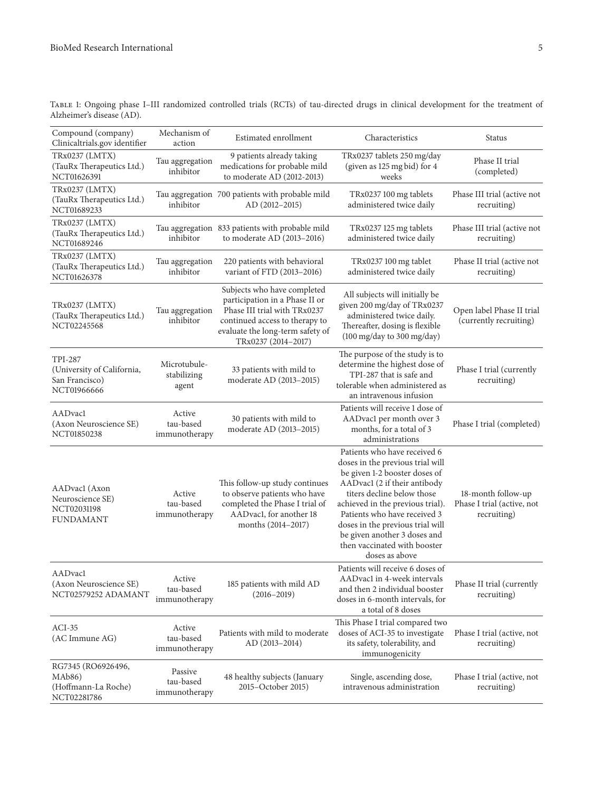Table 1: Ongoing phase I–III randomized controlled trials (RCTs) of tau-directed drugs in clinical development for the treatment of Alzheimer's disease (AD).

| Compound (company)<br>Clinicaltrials.gov identifier                           | Mechanism of<br>action                | Estimated enrollment                                                                                                                                                                       | Characteristics                                                                                                                                                                                                                                                                                                                                           | <b>Status</b>                                                   |
|-------------------------------------------------------------------------------|---------------------------------------|--------------------------------------------------------------------------------------------------------------------------------------------------------------------------------------------|-----------------------------------------------------------------------------------------------------------------------------------------------------------------------------------------------------------------------------------------------------------------------------------------------------------------------------------------------------------|-----------------------------------------------------------------|
| TRx0237 (LMTX)<br>(TauRx Therapeutics Ltd.)<br>NCT01626391                    | Tau aggregation<br>inhibitor          | 9 patients already taking<br>medications for probable mild<br>to moderate AD (2012-2013)                                                                                                   | TRx0237 tablets 250 mg/day<br>(given as 125 mg bid) for 4<br>weeks                                                                                                                                                                                                                                                                                        | Phase II trial<br>(completed)                                   |
| TRx0237 (LMTX)<br>(TauRx Therapeutics Ltd.)<br>NCT01689233                    | inhibitor                             | Tau aggregation 700 patients with probable mild<br>AD (2012-2015)                                                                                                                          | TRx0237 100 mg tablets<br>administered twice daily                                                                                                                                                                                                                                                                                                        | Phase III trial (active not<br>recruiting)                      |
| TRx0237 (LMTX)<br>(TauRx Therapeutics Ltd.)<br>NCT01689246                    | inhibitor                             | Tau aggregation 833 patients with probable mild<br>to moderate AD (2013-2016)                                                                                                              | TRx0237 125 mg tablets<br>administered twice daily                                                                                                                                                                                                                                                                                                        | Phase III trial (active not<br>recruiting)                      |
| TRx0237 (LMTX)<br>(TauRx Therapeutics Ltd.)<br>NCT01626378                    | Tau aggregation<br>inhibitor          | 220 patients with behavioral<br>variant of FTD (2013-2016)                                                                                                                                 | TRx0237 100 mg tablet<br>administered twice daily                                                                                                                                                                                                                                                                                                         | Phase II trial (active not<br>recruiting)                       |
| TRx0237 (LMTX)<br>(TauRx Therapeutics Ltd.)<br>NCT02245568                    | Tau aggregation<br>inhibitor          | Subjects who have completed<br>participation in a Phase II or<br>Phase III trial with TRx0237<br>continued access to therapy to<br>evaluate the long-term safety of<br>TRx0237 (2014-2017) | All subjects will initially be<br>given 200 mg/day of TRx0237<br>administered twice daily.<br>Thereafter, dosing is flexible<br>(100 mg/day to 300 mg/day)                                                                                                                                                                                                | Open label Phase II trial<br>(currently recruiting)             |
| <b>TPI-287</b><br>(University of California,<br>San Francisco)<br>NCT01966666 | Microtubule-<br>stabilizing<br>agent  | 33 patients with mild to<br>moderate AD (2013-2015)                                                                                                                                        | The purpose of the study is to<br>determine the highest dose of<br>TPI-287 that is safe and<br>tolerable when administered as<br>an intravenous infusion                                                                                                                                                                                                  | Phase I trial (currently<br>recruiting)                         |
| <b>AADvacl</b><br>(Axon Neuroscience SE)<br>NCT01850238                       | Active<br>tau-based<br>immunotherapy  | 30 patients with mild to<br>moderate AD (2013-2015)                                                                                                                                        | Patients will receive 1 dose of<br>AADvac1 per month over 3<br>months, for a total of 3<br>administrations                                                                                                                                                                                                                                                | Phase I trial (completed)                                       |
| AADvacl (Axon<br>Neuroscience SE)<br>NCT02031198<br><b>FUNDAMANT</b>          | Active<br>tau-based<br>immunotherapy  | This follow-up study continues<br>to observe patients who have<br>completed the Phase I trial of<br>AADvac1, for another 18<br>months (2014-2017)                                          | Patients who have received 6<br>doses in the previous trial will<br>be given 1-2 booster doses of<br>AADvac1 (2 if their antibody<br>titers decline below those<br>achieved in the previous trial).<br>Patients who have received 3<br>doses in the previous trial will<br>be given another 3 doses and<br>then vaccinated with booster<br>doses as above | 18-month follow-up<br>Phase I trial (active, not<br>recruiting) |
| AADvacl<br>(Axon Neuroscience SE)<br>NCT02579252 ADAMANT                      | Active<br>tau-based<br>immunotherapy  | 185 patients with mild AD<br>$(2016 - 2019)$                                                                                                                                               | Patients will receive 6 doses of<br>AADvac1 in 4-week intervals<br>and then 2 individual booster<br>doses in 6-month intervals, for<br>a total of 8 doses                                                                                                                                                                                                 | Phase II trial (currently<br>recruiting)                        |
| $ACI-35$<br>(AC Immune AG)                                                    | Active<br>tau-based<br>immunotherapy  | Patients with mild to moderate<br>AD (2013-2014)                                                                                                                                           | This Phase I trial compared two<br>doses of ACI-35 to investigate<br>its safety, tolerability, and<br>immunogenicity                                                                                                                                                                                                                                      | Phase I trial (active, not<br>recruiting)                       |
| RG7345 (RO6926496,<br>MAb86)<br>(Hoffmann-La Roche)<br>NCT02281786            | Passive<br>tau-based<br>immunotherapy | 48 healthy subjects (January<br>2015-October 2015)                                                                                                                                         | Single, ascending dose,<br>intravenous administration                                                                                                                                                                                                                                                                                                     | Phase I trial (active, not<br>recruiting)                       |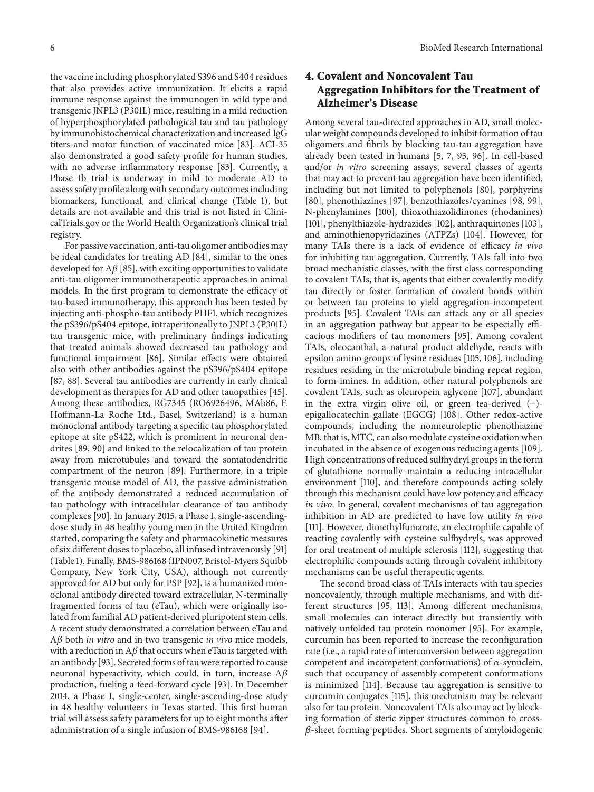the vaccine including phosphorylated S396 and S404 residues that also provides active immunization. It elicits a rapid immune response against the immunogen in wild type and transgenic JNPL3 (P301L) mice, resulting in a mild reduction of hyperphosphorylated pathological tau and tau pathology by immunohistochemical characterization and increased IgG titers and motor function of vaccinated mice [83]. ACI-35 also demonstrated a good safety profile for human studies, with no adverse inflammatory response [83]. Currently, a Phase Ib trial is underway in mild to moderate AD to assess safety profile along with secondary outcomes including biomarkers, functional, and clinical change (Table 1), but details are not available and this trial is not listed in ClinicalTrials.gov or the World Health Organization's clinical trial registry.

For passive vaccination, anti-tau oligomer antibodies may be ideal candidates for treating AD [84], similar to the ones developed for  $A\beta$  [85], with exciting opportunities to validate anti-tau oligomer immunotherapeutic approaches in animal models. In the first program to demonstrate the efficacy of tau-based immunotherapy, this approach has been tested by injecting anti-phospho-tau antibody PHF1, which recognizes the pS396/pS404 epitope, intraperitoneally to JNPL3 (P301L) tau transgenic mice, with preliminary findings indicating that treated animals showed decreased tau pathology and functional impairment [86]. Similar effects were obtained also with other antibodies against the pS396/pS404 epitope [87, 88]. Several tau antibodies are currently in early clinical development as therapies for AD and other tauopathies [45]. Among these antibodies, RG7345 (RO6926496, MAb86, F. Hoffmann-La Roche Ltd., Basel, Switzerland) is a human monoclonal antibody targeting a specific tau phosphorylated epitope at site pS422, which is prominent in neuronal dendrites [89, 90] and linked to the relocalization of tau protein away from microtubules and toward the somatodendritic compartment of the neuron [89]. Furthermore, in a triple transgenic mouse model of AD, the passive administration of the antibody demonstrated a reduced accumulation of tau pathology with intracellular clearance of tau antibody complexes [90]. In January 2015, a Phase I, single-ascendingdose study in 48 healthy young men in the United Kingdom started, comparing the safety and pharmacokinetic measures of six different doses to placebo, all infused intravenously [91] (Table 1). Finally, BMS-986168 (IPN007, Bristol-Myers Squibb Company, New York City, USA), although not currently approved for AD but only for PSP [92], is a humanized monoclonal antibody directed toward extracellular, N-terminally fragmented forms of tau (eTau), which were originally isolated from familial AD patient-derived pluripotent stem cells. A recent study demonstrated a correlation between eTau and  $A\beta$  both *in vitro* and in two transgenic *in vivo* mice models, with a reduction in  $A\beta$  that occurs when eTau is targeted with an antibody [93]. Secreted forms of tau were reported to cause neuronal hyperactivity, which could, in turn, increase  $A\beta$ production, fueling a feed-forward cycle [93]. In December 2014, a Phase I, single-center, single-ascending-dose study in 48 healthy volunteers in Texas started. This first human trial will assess safety parameters for up to eight months after administration of a single infusion of BMS-986168 [94].

## **4. Covalent and Noncovalent Tau Aggregation Inhibitors for the Treatment of Alzheimer's Disease**

Among several tau-directed approaches in AD, small molecular weight compounds developed to inhibit formation of tau oligomers and fibrils by blocking tau-tau aggregation have already been tested in humans [5, 7, 95, 96]. In cell-based and/or *in vitro* screening assays, several classes of agents that may act to prevent tau aggregation have been identified, including but not limited to polyphenols [80], porphyrins [80], phenothiazines [97], benzothiazoles/cyanines [98, 99], N-phenylamines [100], thioxothiazolidinones (rhodanines) [101], phenylthiazole-hydrazides [102], anthraquinones [103], and aminothienopyridazines (ATPZs) [104]. However, for many TAIs there is a lack of evidence of efficacy *in vivo* for inhibiting tau aggregation. Currently, TAIs fall into two broad mechanistic classes, with the first class corresponding to covalent TAIs, that is, agents that either covalently modify tau directly or foster formation of covalent bonds within or between tau proteins to yield aggregation-incompetent products [95]. Covalent TAIs can attack any or all species in an aggregation pathway but appear to be especially efficacious modifiers of tau monomers [95]. Among covalent TAIs, oleocanthal, a natural product aldehyde, reacts with epsilon amino groups of lysine residues [105, 106], including residues residing in the microtubule binding repeat region, to form imines. In addition, other natural polyphenols are covalent TAIs, such as oleuropein aglycone [107], abundant in the extra virgin olive oil, or green tea-derived (−) epigallocatechin gallate (EGCG) [108]. Other redox-active compounds, including the nonneuroleptic phenothiazine MB, that is, MTC, can also modulate cysteine oxidation when incubated in the absence of exogenous reducing agents [109]. High concentrations of reduced sulfhydryl groups in the form of glutathione normally maintain a reducing intracellular environment [110], and therefore compounds acting solely through this mechanism could have low potency and efficacy *in vivo*. In general, covalent mechanisms of tau aggregation inhibition in AD are predicted to have low utility *in vivo* [111]. However, dimethylfumarate, an electrophile capable of reacting covalently with cysteine sulfhydryls, was approved for oral treatment of multiple sclerosis [112], suggesting that electrophilic compounds acting through covalent inhibitory mechanisms can be useful therapeutic agents.

The second broad class of TAIs interacts with tau species noncovalently, through multiple mechanisms, and with different structures [95, 113]. Among different mechanisms, small molecules can interact directly but transiently with natively unfolded tau protein monomer [95]. For example, curcumin has been reported to increase the reconfiguration rate (i.e., a rapid rate of interconversion between aggregation competent and incompetent conformations) of  $\alpha$ -synuclein, such that occupancy of assembly competent conformations is minimized [114]. Because tau aggregation is sensitive to curcumin conjugates [115], this mechanism may be relevant also for tau protein. Noncovalent TAIs also may act by blocking formation of steric zipper structures common to cross-  $\beta$ -sheet forming peptides. Short segments of amyloidogenic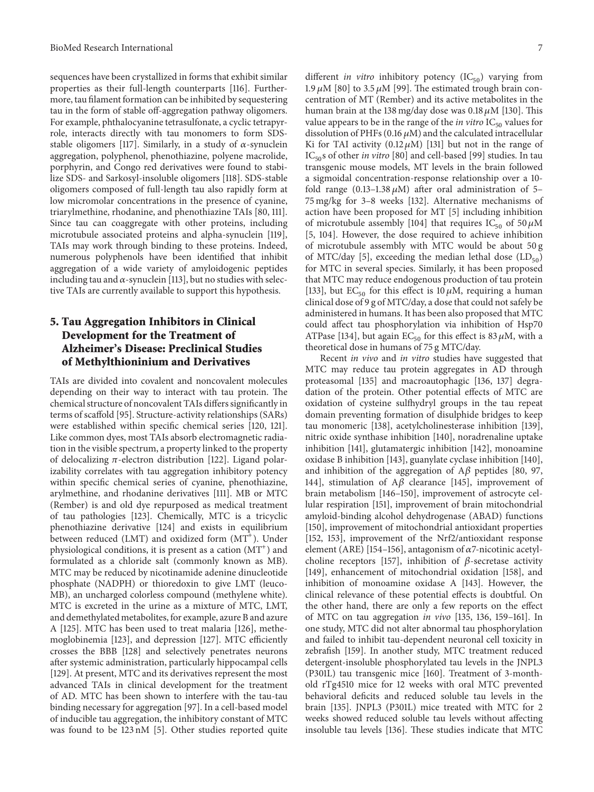sequences have been crystallized in forms that exhibit similar properties as their full-length counterparts [116]. Furthermore, tau filament formation can be inhibited by sequestering tau in the form of stable off-aggregation pathway oligomers. For example, phthalocyanine tetrasulfonate, a cyclic tetrapyrrole, interacts directly with tau monomers to form SDSstable oligomers [117]. Similarly, in a study of  $\alpha$ -synuclein aggregation, polyphenol, phenothiazine, polyene macrolide, porphyrin, and Congo red derivatives were found to stabilize SDS- and Sarkosyl-insoluble oligomers [118]. SDS-stable oligomers composed of full-length tau also rapidly form at low micromolar concentrations in the presence of cyanine, triarylmethine, rhodanine, and phenothiazine TAIs [80, 111]. Since tau can coaggregate with other proteins, including microtubule associated proteins and alpha-synuclein [119], TAIs may work through binding to these proteins. Indeed, numerous polyphenols have been identified that inhibit aggregation of a wide variety of amyloidogenic peptides including tau and  $\alpha$ -synuclein [113], but no studies with selective TAIs are currently available to support this hypothesis.

## **5. Tau Aggregation Inhibitors in Clinical Development for the Treatment of Alzheimer's Disease: Preclinical Studies of Methylthioninium and Derivatives**

TAIs are divided into covalent and noncovalent molecules depending on their way to interact with tau protein. The chemical structure of noncovalent TAIs differs significantly in terms of scaffold [95]. Structure-activity relationships (SARs) were established within specific chemical series [120, 121]. Like common dyes, most TAIs absorb electromagnetic radiation in the visible spectrum, a property linked to the property of delocalizing  $\pi$ -electron distribution [122]. Ligand polarizability correlates with tau aggregation inhibitory potency within specific chemical series of cyanine, phenothiazine, arylmethine, and rhodanine derivatives [111]. MB or MTC (Rember) is and old dye repurposed as medical treatment of tau pathologies [123]. Chemically, MTC is a tricyclic phenothiazine derivative [124] and exists in equilibrium between reduced (LMT) and oxidized form  $(MT^{+})$ . Under physiological conditions, it is present as a cation  $(MT^+)$  and formulated as a chloride salt (commonly known as MB). MTC may be reduced by nicotinamide adenine dinucleotide phosphate (NADPH) or thioredoxin to give LMT (leuco-MB), an uncharged colorless compound (methylene white). MTC is excreted in the urine as a mixture of MTC, LMT, and demethylated metabolites, for example, azure B and azure A [125]. MTC has been used to treat malaria [126], methemoglobinemia [123], and depression [127]. MTC efficiently crosses the BBB [128] and selectively penetrates neurons after systemic administration, particularly hippocampal cells [129]. At present, MTC and its derivatives represent the most advanced TAIs in clinical development for the treatment of AD. MTC has been shown to interfere with the tau-tau binding necessary for aggregation [97]. In a cell-based model of inducible tau aggregation, the inhibitory constant of MTC was found to be 123 nM [5]. Other studies reported quite

different *in vitro* inhibitory potency (IC<sub>50</sub>) varying from 1.9  $\mu$ M [80] to 3.5  $\mu$ M [99]. The estimated trough brain concentration of MT (Rember) and its active metabolites in the human brain at the 138 mg/day dose was  $0.18 \mu M$  [130]. This value appears to be in the range of the *in vitro*  $IC_{50}$  values for dissolution of PHFs (0.16  $\mu$ M) and the calculated intracellular Ki for TAI activity  $(0.12 \mu M)$  [131] but not in the range of IC<sub>50</sub>s of other *in vitro* [80] and cell-based [99] studies. In tau transgenic mouse models, MT levels in the brain followed a sigmoidal concentration-response relationship over a 10 fold range (0.13–1.38  $\mu$ M) after oral administration of 5– 75 mg/kg for 3–8 weeks [132]. Alternative mechanisms of action have been proposed for MT [5] including inhibition of microtubule assembly [104] that requires  $IC_{50}$  of 50  $\mu$ M [5, 104]. However, the dose required to achieve inhibition of microtubule assembly with MTC would be about 50 g of MTC/day [5], exceeding the median lethal dose  $(LD_{50})$ for MTC in several species. Similarly, it has been proposed that MTC may reduce endogenous production of tau protein [133], but  $EC_{50}$  for this effect is 10  $\mu$ M, requiring a human clinical dose of 9 g of MTC/day, a dose that could not safely be administered in humans. It has been also proposed that MTC could affect tau phosphorylation via inhibition of Hsp70 ATPase [134], but again  $EC_{50}$  for this effect is 83  $\mu$ M, with a theoretical dose in humans of 75 g MTC/day.

Recent *in vivo* and *in vitro* studies have suggested that MTC may reduce tau protein aggregates in AD through proteasomal [135] and macroautophagic [136, 137] degradation of the protein. Other potential effects of MTC are oxidation of cysteine sulfhydryl groups in the tau repeat domain preventing formation of disulphide bridges to keep tau monomeric [138], acetylcholinesterase inhibition [139], nitric oxide synthase inhibition [140], noradrenaline uptake inhibition [141], glutamatergic inhibition [142], monoamine oxidase B inhibition [143], guanylate cyclase inhibition [140], and inhibition of the aggregation of  $A\beta$  peptides [80, 97, 144], stimulation of  $A\beta$  clearance [145], improvement of brain metabolism [146–150], improvement of astrocyte cellular respiration [151], improvement of brain mitochondrial amyloid-binding alcohol dehydrogenase (ABAD) functions [150], improvement of mitochondrial antioxidant properties [152, 153], improvement of the Nrf2/antioxidant response element (ARE) [154–156], antagonism of  $\alpha$ 7-nicotinic acetylcholine receptors [157], inhibition of  $\beta$ -secretase activity [149], enhancement of mitochondrial oxidation [158], and inhibition of monoamine oxidase A [143]. However, the clinical relevance of these potential effects is doubtful. On the other hand, there are only a few reports on the effect of MTC on tau aggregation *in vivo* [135, 136, 159–161]. In one study, MTC did not alter abnormal tau phosphorylation and failed to inhibit tau-dependent neuronal cell toxicity in zebrafish [159]. In another study, MTC treatment reduced detergent-insoluble phosphorylated tau levels in the JNPL3 (P301L) tau transgenic mice [160]. Treatment of 3-monthold rTg4510 mice for 12 weeks with oral MTC prevented behavioral deficits and reduced soluble tau levels in the brain [135]. JNPL3 (P301L) mice treated with MTC for 2 weeks showed reduced soluble tau levels without affecting insoluble tau levels [136]. These studies indicate that MTC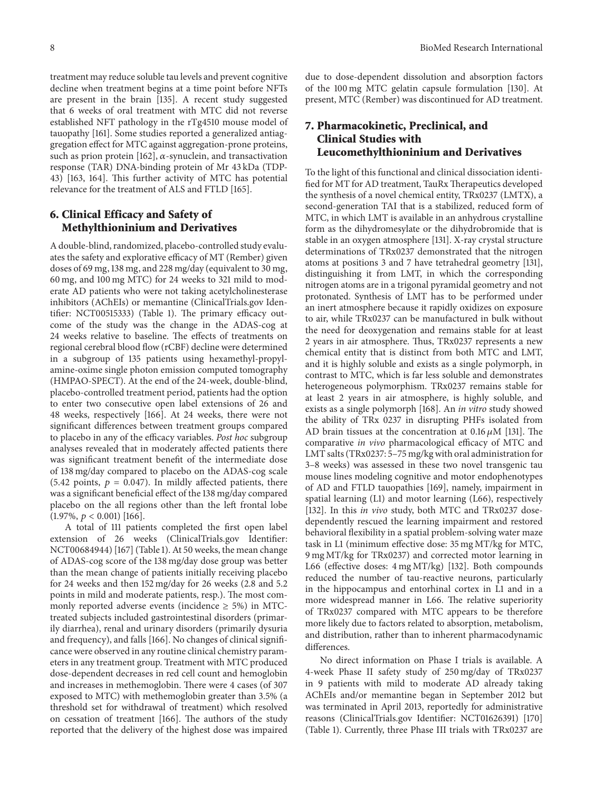treatment may reduce soluble tau levels and prevent cognitive decline when treatment begins at a time point before NFTs are present in the brain [135]. A recent study suggested that 6 weeks of oral treatment with MTC did not reverse established NFT pathology in the rTg4510 mouse model of tauopathy [161]. Some studies reported a generalized antiaggregation effect for MTC against aggregation-prone proteins, such as prion protein [162],  $\alpha$ -synuclein, and transactivation response (TAR) DNA-binding protein of Mr 43 kDa (TDP-43) [163, 164]. This further activity of MTC has potential relevance for the treatment of ALS and FTLD [165].

#### **6. Clinical Efficacy and Safety of Methylthioninium and Derivatives**

A double-blind, randomized, placebo-controlled study evaluates the safety and explorative efficacy of MT (Rember) given doses of 69 mg, 138 mg, and 228 mg/day (equivalent to 30 mg, 60 mg, and 100 mg MTC) for 24 weeks to 321 mild to moderate AD patients who were not taking acetylcholinesterase inhibitors (AChEIs) or memantine (ClinicalTrials.gov Identifier: NCT00515333) (Table 1). The primary efficacy outcome of the study was the change in the ADAS-cog at 24 weeks relative to baseline. The effects of treatments on regional cerebral blood flow (rCBF) decline were determined in a subgroup of 135 patients using hexamethyl-propylamine-oxime single photon emission computed tomography (HMPAO-SPECT). At the end of the 24-week, double-blind, placebo-controlled treatment period, patients had the option to enter two consecutive open label extensions of 26 and 48 weeks, respectively [166]. At 24 weeks, there were not significant differences between treatment groups compared to placebo in any of the efficacy variables. *Post hoc* subgroup analyses revealed that in moderately affected patients there was significant treatment benefit of the intermediate dose of 138 mg/day compared to placebo on the ADAS-cog scale (5.42 points,  $p = 0.047$ ). In mildly affected patients, there was a significant beneficial effect of the 138 mg/day compared placebo on the all regions other than the left frontal lobe  $(1.97\%, p < 0.001)$  [166].

A total of 111 patients completed the first open label extension of 26 weeks (ClinicalTrials.gov Identifier: NCT00684944) [167] (Table 1). At 50 weeks, the mean change of ADAS-cog score of the 138 mg/day dose group was better than the mean change of patients initially receiving placebo for 24 weeks and then 152 mg/day for 26 weeks (2.8 and 5.2 points in mild and moderate patients, resp.). The most commonly reported adverse events (incidence  $\geq$  5%) in MTCtreated subjects included gastrointestinal disorders (primarily diarrhea), renal and urinary disorders (primarily dysuria and frequency), and falls [166]. No changes of clinical significance were observed in any routine clinical chemistry parameters in any treatment group. Treatment with MTC produced dose-dependent decreases in red cell count and hemoglobin and increases in methemoglobin. There were 4 cases (of 307 exposed to MTC) with methemoglobin greater than 3.5% (a threshold set for withdrawal of treatment) which resolved on cessation of treatment [166]. The authors of the study reported that the delivery of the highest dose was impaired

due to dose-dependent dissolution and absorption factors of the 100 mg MTC gelatin capsule formulation [130]. At present, MTC (Rember) was discontinued for AD treatment.

## **7. Pharmacokinetic, Preclinical, and Clinical Studies with Leucomethylthioninium and Derivatives**

To the light of this functional and clinical dissociation identified for MT for AD treatment, TauRx Therapeutics developed the synthesis of a novel chemical entity, TRx0237 (LMTX), a second-generation TAI that is a stabilized, reduced form of MTC, in which LMT is available in an anhydrous crystalline form as the dihydromesylate or the dihydrobromide that is stable in an oxygen atmosphere [131]. X-ray crystal structure determinations of TRx0237 demonstrated that the nitrogen atoms at positions 3 and 7 have tetrahedral geometry [131], distinguishing it from LMT, in which the corresponding nitrogen atoms are in a trigonal pyramidal geometry and not protonated. Synthesis of LMT has to be performed under an inert atmosphere because it rapidly oxidizes on exposure to air, while TRx0237 can be manufactured in bulk without the need for deoxygenation and remains stable for at least 2 years in air atmosphere. Thus, TRx0237 represents a new chemical entity that is distinct from both MTC and LMT, and it is highly soluble and exists as a single polymorph, in contrast to MTC, which is far less soluble and demonstrates heterogeneous polymorphism. TRx0237 remains stable for at least 2 years in air atmosphere, is highly soluble, and exists as a single polymorph [168]. An *in vitro* study showed the ability of TRx 0237 in disrupting PHFs isolated from AD brain tissues at the concentration at  $0.16 \mu M$  [131]. The comparative *in vivo* pharmacological efficacy of MTC and LMT salts (TRx0237: 5–75 mg/kg with oral administration for 3–8 weeks) was assessed in these two novel transgenic tau mouse lines modeling cognitive and motor endophenotypes of AD and FTLD tauopathies [169], namely, impairment in spatial learning (L1) and motor learning (L66), respectively [132]. In this *in vivo* study, both MTC and TRx0237 dosedependently rescued the learning impairment and restored behavioral flexibility in a spatial problem-solving water maze task in L1 (minimum effective dose: 35 mg MT/kg for MTC, 9 mg MT/kg for TRx0237) and corrected motor learning in L66 (effective doses: 4 mg MT/kg) [132]. Both compounds reduced the number of tau-reactive neurons, particularly in the hippocampus and entorhinal cortex in L1 and in a more widespread manner in L66. The relative superiority of TRx0237 compared with MTC appears to be therefore more likely due to factors related to absorption, metabolism, and distribution, rather than to inherent pharmacodynamic differences.

No direct information on Phase I trials is available. A 4-week Phase II safety study of 250 mg/day of TRx0237 in 9 patients with mild to moderate AD already taking AChEIs and/or memantine began in September 2012 but was terminated in April 2013, reportedly for administrative reasons (ClinicalTrials.gov Identifier: NCT01626391) [170] (Table 1). Currently, three Phase III trials with TRx0237 are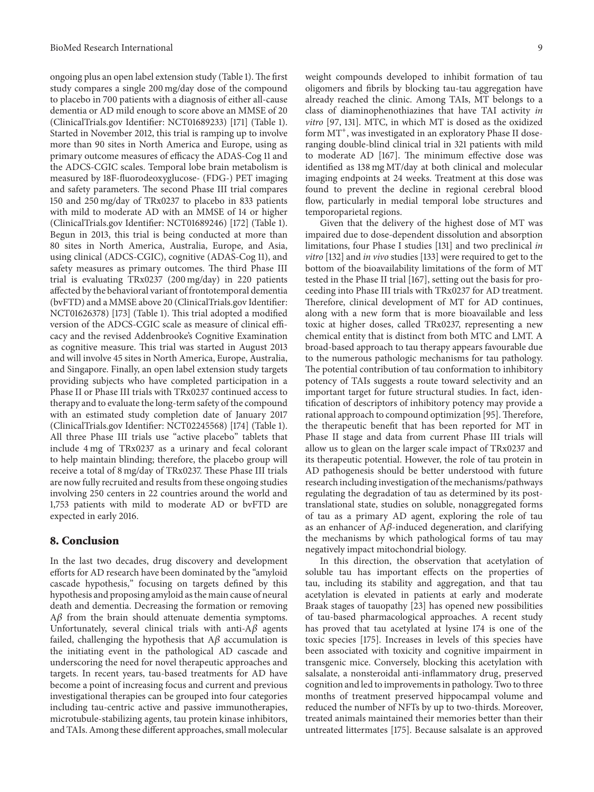ongoing plus an open label extension study (Table 1). The first study compares a single 200 mg/day dose of the compound to placebo in 700 patients with a diagnosis of either all-cause dementia or AD mild enough to score above an MMSE of 20 (ClinicalTrials.gov Identifier: NCT01689233) [171] (Table 1). Started in November 2012, this trial is ramping up to involve more than 90 sites in North America and Europe, using as primary outcome measures of efficacy the ADAS-Cog 11 and the ADCS-CGIC scales. Temporal lobe brain metabolism is measured by 18F-fluorodeoxyglucose- (FDG-) PET imaging and safety parameters. The second Phase III trial compares 150 and 250 mg/day of TRx0237 to placebo in 833 patients with mild to moderate AD with an MMSE of 14 or higher (ClinicalTrials.gov Identifier: NCT01689246) [172] (Table 1). Begun in 2013, this trial is being conducted at more than 80 sites in North America, Australia, Europe, and Asia, using clinical (ADCS-CGIC), cognitive (ADAS-Cog 11), and safety measures as primary outcomes. The third Phase III trial is evaluating TRx0237 (200 mg/day) in 220 patients affected by the behavioral variant of frontotemporal dementia (bvFTD) and a MMSE above 20 (ClinicalTrials.gov Identifier: NCT01626378) [173] (Table 1). This trial adopted a modified version of the ADCS-CGIC scale as measure of clinical efficacy and the revised Addenbrooke's Cognitive Examination as cognitive measure. This trial was started in August 2013 and will involve 45 sites in North America, Europe, Australia, and Singapore. Finally, an open label extension study targets providing subjects who have completed participation in a Phase II or Phase III trials with TRx0237 continued access to therapy and to evaluate the long-term safety of the compound with an estimated study completion date of January 2017 (ClinicalTrials.gov Identifier: NCT02245568) [174] (Table 1). All three Phase III trials use "active placebo" tablets that include 4 mg of TRx0237 as a urinary and fecal colorant to help maintain blinding; therefore, the placebo group will receive a total of 8 mg/day of TRx0237. These Phase III trials are now fully recruited and results from these ongoing studies involving 250 centers in 22 countries around the world and 1,753 patients with mild to moderate AD or bvFTD are expected in early 2016.

#### **8. Conclusion**

In the last two decades, drug discovery and development efforts for AD research have been dominated by the "amyloid cascade hypothesis," focusing on targets defined by this hypothesis and proposing amyloid as the main cause of neural death and dementia. Decreasing the formation or removing  $A\beta$  from the brain should attenuate dementia symptoms. Unfortunately, several clinical trials with anti- $A\beta$  agents failed, challenging the hypothesis that  $A\beta$  accumulation is the initiating event in the pathological AD cascade and underscoring the need for novel therapeutic approaches and targets. In recent years, tau-based treatments for AD have become a point of increasing focus and current and previous investigational therapies can be grouped into four categories including tau-centric active and passive immunotherapies, microtubule-stabilizing agents, tau protein kinase inhibitors, and TAIs. Among these different approaches, small molecular

weight compounds developed to inhibit formation of tau oligomers and fibrils by blocking tau-tau aggregation have already reached the clinic. Among TAIs, MT belongs to a class of diaminophenothiazines that have TAI activity *in vitro* [97, 131]. MTC, in which MT is dosed as the oxidized form MT<sup>+</sup>, was investigated in an exploratory Phase II doseranging double-blind clinical trial in 321 patients with mild to moderate AD [167]. The minimum effective dose was identified as 138 mg MT/day at both clinical and molecular imaging endpoints at 24 weeks. Treatment at this dose was found to prevent the decline in regional cerebral blood flow, particularly in medial temporal lobe structures and temporoparietal regions.

Given that the delivery of the highest dose of MT was impaired due to dose-dependent dissolution and absorption limitations, four Phase I studies [131] and two preclinical *in vitro* [132] and *in vivo* studies [133] were required to get to the bottom of the bioavailability limitations of the form of MT tested in the Phase II trial [167], setting out the basis for proceeding into Phase III trials with TRx0237 for AD treatment. Therefore, clinical development of MT for AD continues, along with a new form that is more bioavailable and less toxic at higher doses, called TRx0237, representing a new chemical entity that is distinct from both MTC and LMT. A broad-based approach to tau therapy appears favourable due to the numerous pathologic mechanisms for tau pathology. The potential contribution of tau conformation to inhibitory potency of TAIs suggests a route toward selectivity and an important target for future structural studies. In fact, identification of descriptors of inhibitory potency may provide a rational approach to compound optimization [95]. Therefore, the therapeutic benefit that has been reported for MT in Phase II stage and data from current Phase III trials will allow us to glean on the larger scale impact of TRx0237 and its therapeutic potential. However, the role of tau protein in AD pathogenesis should be better understood with future research including investigation of the mechanisms/pathways regulating the degradation of tau as determined by its posttranslational state, studies on soluble, nonaggregated forms of tau as a primary AD agent, exploring the role of tau as an enhancer of  $A\beta$ -induced degeneration, and clarifying the mechanisms by which pathological forms of tau may negatively impact mitochondrial biology.

In this direction, the observation that acetylation of soluble tau has important effects on the properties of tau, including its stability and aggregation, and that tau acetylation is elevated in patients at early and moderate Braak stages of tauopathy [23] has opened new possibilities of tau-based pharmacological approaches. A recent study has proved that tau acetylated at lysine 174 is one of the toxic species [175]. Increases in levels of this species have been associated with toxicity and cognitive impairment in transgenic mice. Conversely, blocking this acetylation with salsalate, a nonsteroidal anti-inflammatory drug, preserved cognition and led to improvements in pathology. Two to three months of treatment preserved hippocampal volume and reduced the number of NFTs by up to two-thirds. Moreover, treated animals maintained their memories better than their untreated littermates [175]. Because salsalate is an approved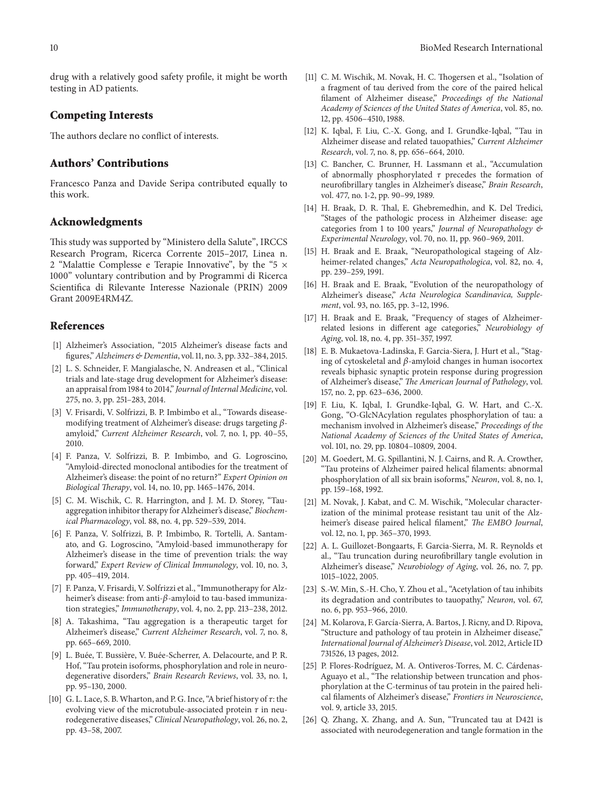drug with a relatively good safety profile, it might be worth testing in AD patients.

#### **Competing Interests**

The authors declare no conflict of interests.

#### **Authors' Contributions**

Francesco Panza and Davide Seripa contributed equally to this work.

#### **Acknowledgments**

This study was supported by "Ministero della Salute", IRCCS Research Program, Ricerca Corrente 2015–2017, Linea n. 2 "Malattie Complesse e Terapie Innovative", by the "5 × 1000" voluntary contribution and by Programmi di Ricerca Scientifica di Rilevante Interesse Nazionale (PRIN) 2009 Grant 2009E4RM4Z.

#### **References**

- [1] Alzheimer's Association, "2015 Alzheimer's disease facts and figures,"*Alzheimers & Dementia*, vol. 11, no. 3, pp. 332–384, 2015.
- [2] L. S. Schneider, F. Mangialasche, N. Andreasen et al., "Clinical trials and late-stage drug development for Alzheimer's disease: an appraisal from 1984 to 2014," *Journal of Internal Medicine*, vol. 275, no. 3, pp. 251–283, 2014.
- [3] V. Frisardi, V. Solfrizzi, B. P. Imbimbo et al., "Towards diseasemodifying treatment of Alzheimer's disease: drugs targeting  $\beta$ amyloid," *Current Alzheimer Research*, vol. 7, no. 1, pp. 40–55, 2010.
- [4] F. Panza, V. Solfrizzi, B. P. Imbimbo, and G. Logroscino, "Amyloid-directed monoclonal antibodies for the treatment of Alzheimer's disease: the point of no return?" *Expert Opinion on Biological Therapy*, vol. 14, no. 10, pp. 1465–1476, 2014.
- [5] C. M. Wischik, C. R. Harrington, and J. M. D. Storey, "Tauaggregation inhibitor therapy for Alzheimer's disease," *Biochemical Pharmacology*, vol. 88, no. 4, pp. 529–539, 2014.
- [6] F. Panza, V. Solfrizzi, B. P. Imbimbo, R. Tortelli, A. Santamato, and G. Logroscino, "Amyloid-based immunotherapy for Alzheimer's disease in the time of prevention trials: the way forward," *Expert Review of Clinical Immunology*, vol. 10, no. 3, pp. 405–419, 2014.
- [7] F. Panza, V. Frisardi, V. Solfrizzi et al., "Immunotherapy for Alzheimer's disease: from anti- $\beta$ -amyloid to tau-based immunization strategies," *Immunotherapy*, vol. 4, no. 2, pp. 213–238, 2012.
- [8] A. Takashima, "Tau aggregation is a therapeutic target for Alzheimer's disease," *Current Alzheimer Research*, vol. 7, no. 8, pp. 665–669, 2010.
- [9] L. Buée, T. Bussière, V. Buée-Scherrer, A. Delacourte, and P. R. Hof, "Tau protein isoforms, phosphorylation and role in neurodegenerative disorders," *Brain Research Reviews*, vol. 33, no. 1, pp. 95–130, 2000.
- [10] G. L. Lace, S. B. Wharton, and P. G. Ince, "A brief history of  $\tau$ : the evolving view of the microtubule-associated protein  $\tau$  in neurodegenerative diseases," *Clinical Neuropathology*, vol. 26, no. 2, pp. 43–58, 2007.
- [11] C. M. Wischik, M. Novak, H. C. Thogersen et al., "Isolation of a fragment of tau derived from the core of the paired helical filament of Alzheimer disease," *Proceedings of the National Academy of Sciences of the United States of America*, vol. 85, no. 12, pp. 4506–4510, 1988.
- [12] K. Iqbal, F. Liu, C.-X. Gong, and I. Grundke-Iqbal, "Tau in Alzheimer disease and related tauopathies," *Current Alzheimer Research*, vol. 7, no. 8, pp. 656–664, 2010.
- [13] C. Bancher, C. Brunner, H. Lassmann et al., "Accumulation of abnormally phosphorylated  $\tau$  precedes the formation of neurofibrillary tangles in Alzheimer's disease," *Brain Research*, vol. 477, no. 1-2, pp. 90–99, 1989.
- [14] H. Braak, D. R. Thal, E. Ghebremedhin, and K. Del Tredici, "Stages of the pathologic process in Alzheimer disease: age categories from 1 to 100 years," *Journal of Neuropathology & Experimental Neurology*, vol. 70, no. 11, pp. 960–969, 2011.
- [15] H. Braak and E. Braak, "Neuropathological stageing of Alzheimer-related changes," *Acta Neuropathologica*, vol. 82, no. 4, pp. 239–259, 1991.
- [16] H. Braak and E. Braak, "Evolution of the neuropathology of Alzheimer's disease," *Acta Neurologica Scandinavica, Supplement*, vol. 93, no. 165, pp. 3–12, 1996.
- [17] H. Braak and E. Braak, "Frequency of stages of Alzheimerrelated lesions in different age categories," *Neurobiology of Aging*, vol. 18, no. 4, pp. 351–357, 1997.
- [18] E. B. Mukaetova-Ladinska, F. Garcia-Siera, J. Hurt et al., "Staging of cytoskeletal and  $\beta$ -amyloid changes in human isocortex reveals biphasic synaptic protein response during progression of Alzheimer's disease," *The American Journal of Pathology*, vol. 157, no. 2, pp. 623–636, 2000.
- [19] F. Liu, K. Iqbal, I. Grundke-Iqbal, G. W. Hart, and C.-X. Gong, "O-GlcNAcylation regulates phosphorylation of tau: a mechanism involved in Alzheimer's disease," *Proceedings of the National Academy of Sciences of the United States of America*, vol. 101, no. 29, pp. 10804–10809, 2004.
- [20] M. Goedert, M. G. Spillantini, N. J. Cairns, and R. A. Crowther, "Tau proteins of Alzheimer paired helical filaments: abnormal phosphorylation of all six brain isoforms," *Neuron*, vol. 8, no. 1, pp. 159–168, 1992.
- [21] M. Novak, J. Kabat, and C. M. Wischik, "Molecular characterization of the minimal protease resistant tau unit of the Alzheimer's disease paired helical filament," *The EMBO Journal*, vol. 12, no. 1, pp. 365–370, 1993.
- [22] A. L. Guillozet-Bongaarts, F. Garcia-Sierra, M. R. Reynolds et al., "Tau truncation during neurofibrillary tangle evolution in Alzheimer's disease," *Neurobiology of Aging*, vol. 26, no. 7, pp. 1015–1022, 2005.
- [23] S.-W. Min, S.-H. Cho, Y. Zhou et al., "Acetylation of tau inhibits its degradation and contributes to tauopathy," *Neuron*, vol. 67, no. 6, pp. 953–966, 2010.
- [24] M. Kolarova, F. García-Sierra, A. Bartos, J. Ricny, and D. Ripova, "Structure and pathology of tau protein in Alzheimer disease," *International Journal of Alzheimer's Disease*, vol. 2012, Article ID 731526, 13 pages, 2012.
- [25] P. Flores-Rodríguez, M. A. Ontiveros-Torres, M. C. Cárdenas-Aguayo et al., "The relationship between truncation and phosphorylation at the C-terminus of tau protein in the paired helical filaments of Alzheimer's disease," *Frontiers in Neuroscience*, vol. 9, article 33, 2015.
- [26] Q. Zhang, X. Zhang, and A. Sun, "Truncated tau at D421 is associated with neurodegeneration and tangle formation in the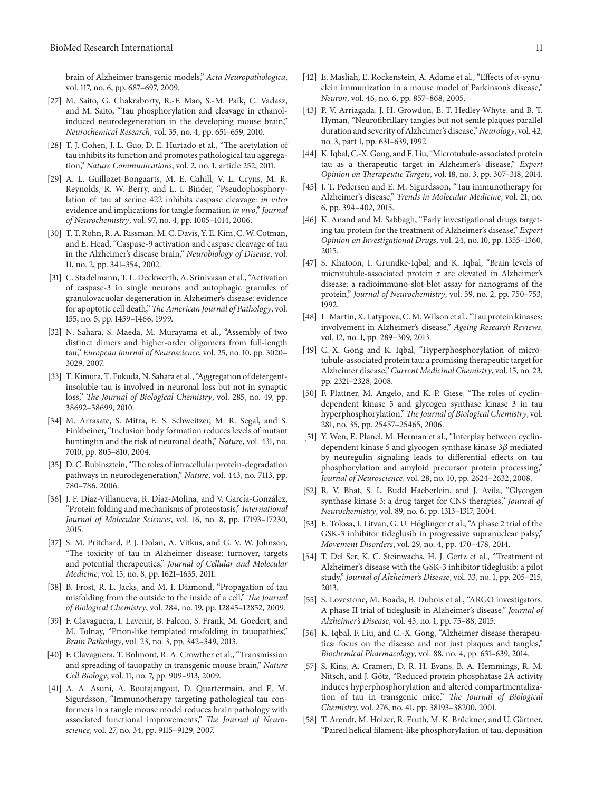brain of Alzheimer transgenic models," *Acta Neuropathologica*, vol. 117, no. 6, pp. 687–697, 2009.

- [27] M. Saito, G. Chakraborty, R.-F. Mao, S.-M. Paik, C. Vadasz, and M. Saito, "Tau phosphorylation and cleavage in ethanolinduced neurodegeneration in the developing mouse brain," *Neurochemical Research*, vol. 35, no. 4, pp. 651–659, 2010.
- [28] T. J. Cohen, J. L. Guo, D. E. Hurtado et al., "The acetylation of tau inhibits its function and promotes pathological tau aggregation," *Nature Communications*, vol. 2, no. 1, article 252, 2011.
- [29] A. L. Guillozet-Bongaarts, M. E. Cahill, V. L. Cryns, M. R. Reynolds, R. W. Berry, and L. I. Binder, "Pseudophosphorylation of tau at serine 422 inhibits caspase cleavage: *in vitro* evidence and implications for tangle formation *in vivo*," *Journal of Neurochemistry*, vol. 97, no. 4, pp. 1005–1014, 2006.
- [30] T. T. Rohn, R. A. Rissman, M. C. Davis, Y. E. Kim, C.W. Cotman, and E. Head, "Caspase-9 activation and caspase cleavage of tau in the Alzheimer's disease brain," *Neurobiology of Disease*, vol. 11, no. 2, pp. 341–354, 2002.
- [31] C. Stadelmann, T. L. Deckwerth, A. Srinivasan et al., "Activation of caspase-3 in single neurons and autophagic granules of granulovacuolar degeneration in Alzheimer's disease: evidence for apoptotic cell death," *The American Journal of Pathology*, vol. 155, no. 5, pp. 1459–1466, 1999.
- [32] N. Sahara, S. Maeda, M. Murayama et al., "Assembly of two distinct dimers and higher-order oligomers from full-length tau," *European Journal of Neuroscience*, vol. 25, no. 10, pp. 3020– 3029, 2007.
- [33] T. Kimura, T. Fukuda, N. Sahara et al., "Aggregation of detergentinsoluble tau is involved in neuronal loss but not in synaptic loss," *The Journal of Biological Chemistry*, vol. 285, no. 49, pp. 38692–38699, 2010.
- [34] M. Arrasate, S. Mitra, E. S. Schweitzer, M. R. Segal, and S. Finkbeiner, "Inclusion body formation reduces levels of mutant huntingtin and the risk of neuronal death," *Nature*, vol. 431, no. 7010, pp. 805–810, 2004.
- [35] D. C. Rubinsztein, "The roles of intracellular protein-degradation pathways in neurodegeneration," *Nature*, vol. 443, no. 7113, pp. 780–786, 2006.
- [36] J. F. Díaz-Villanueva, R. Díaz-Molina, and V. García-González, "Protein folding and mechanisms of proteostasis," *International Journal of Molecular Sciences*, vol. 16, no. 8, pp. 17193–17230, 2015.
- [37] S. M. Pritchard, P. J. Dolan, A. Vitkus, and G. V. W. Johnson, "The toxicity of tau in Alzheimer disease: turnover, targets and potential therapeutics," *Journal of Cellular and Molecular Medicine*, vol. 15, no. 8, pp. 1621–1635, 2011.
- [38] B. Frost, R. L. Jacks, and M. I. Diamond, "Propagation of tau misfolding from the outside to the inside of a cell," *The Journal of Biological Chemistry*, vol. 284, no. 19, pp. 12845–12852, 2009.
- [39] F. Clavaguera, I. Lavenir, B. Falcon, S. Frank, M. Goedert, and M. Tolnay, "Prion-like templated misfolding in tauopathies," *Brain Pathology*, vol. 23, no. 3, pp. 342–349, 2013.
- [40] F. Clavaguera, T. Bolmont, R. A. Crowther et al., "Transmission and spreading of tauopathy in transgenic mouse brain," *Nature Cell Biology*, vol. 11, no. 7, pp. 909–913, 2009.
- [41] A. A. Asuni, A. Boutajangout, D. Quartermain, and E. M. Sigurdsson, "Immunotherapy targeting pathological tau conformers in a tangle mouse model reduces brain pathology with associated functional improvements," *The Journal of Neuroscience*, vol. 27, no. 34, pp. 9115–9129, 2007.
- [42] E. Masliah, E. Rockenstein, A. Adame et al., "Effects of  $\alpha$ -synuclein immunization in a mouse model of Parkinson's disease," *Neuron*, vol. 46, no. 6, pp. 857–868, 2005.
- [43] P. V. Arriagada, J. H. Growdon, E. T. Hedley-Whyte, and B. T. Hyman, "Neurofibrillary tangles but not senile plaques parallel duration and severity of Alzheimer's disease," *Neurology*, vol. 42, no. 3, part 1, pp. 631–639, 1992.
- [44] K. Iqbal, C.-X. Gong, and F. Liu, "Microtubule-associated protein tau as a therapeutic target in Alzheimer's disease," *Expert Opinion on Therapeutic Targets*, vol. 18, no. 3, pp. 307–318, 2014.
- [45] J. T. Pedersen and E. M. Sigurdsson, "Tau immunotherapy for Alzheimer's disease," *Trends in Molecular Medicine*, vol. 21, no. 6, pp. 394–402, 2015.
- [46] K. Anand and M. Sabbagh, "Early investigational drugs targeting tau protein for the treatment of Alzheimer's disease," *Expert Opinion on Investigational Drugs*, vol. 24, no. 10, pp. 1355–1360, 2015.
- [47] S. Khatoon, I. Grundke-Iqbal, and K. Iqbal, "Brain levels of microtubule-associated protein  $\tau$  are elevated in Alzheimer's disease: a radioimmuno-slot-blot assay for nanograms of the protein," *Journal of Neurochemistry*, vol. 59, no. 2, pp. 750–753, 1992.
- [48] L. Martin, X. Latypova, C. M.Wilson et al., "Tau protein kinases: involvement in Alzheimer's disease," *Ageing Research Reviews*, vol. 12, no. 1, pp. 289–309, 2013.
- [49] C.-X. Gong and K. Iqbal, "Hyperphosphorylation of microtubule-associated protein tau: a promising therapeutic target for Alzheimer disease," *Current Medicinal Chemistry*, vol. 15, no. 23, pp. 2321–2328, 2008.
- [50] F. Plattner, M. Angelo, and K. P. Giese, "The roles of cyclindependent kinase 5 and glycogen synthase kinase 3 in tau hyperphosphorylation,"*The Journal of Biological Chemistry*, vol. 281, no. 35, pp. 25457–25465, 2006.
- [51] Y. Wen, E. Planel, M. Herman et al., "Interplay between cyclindependent kinase 5 and glycogen synthase kinase  $3\beta$  mediated by neuregulin signaling leads to differential effects on tau phosphorylation and amyloid precursor protein processing," *Journal of Neuroscience*, vol. 28, no. 10, pp. 2624–2632, 2008.
- [52] R. V. Bhat, S. L. Budd Haeberlein, and J. Avila, "Glycogen synthase kinase 3: a drug target for CNS therapies," *Journal of Neurochemistry*, vol. 89, no. 6, pp. 1313–1317, 2004.
- [53] E. Tolosa, I. Litvan, G. U. Höglinger et al., "A phase 2 trial of the GSK-3 inhibitor tideglusib in progressive supranuclear palsy," *Movement Disorders*, vol. 29, no. 4, pp. 470–478, 2014.
- [54] T. Del Ser, K. C. Steinwachs, H. J. Gertz et al., "Treatment of Alzheimer's disease with the GSK-3 inhibitor tideglusib: a pilot study," *Journal of Alzheimer's Disease*, vol. 33, no. 1, pp. 205–215, 2013.
- [55] S. Lovestone, M. Boada, B. Dubois et al., "ARGO investigators. A phase II trial of tideglusib in Alzheimer's disease," *Journal of Alzheimer's Disease*, vol. 45, no. 1, pp. 75–88, 2015.
- [56] K. Iqbal, F. Liu, and C.-X. Gong, "Alzheimer disease therapeutics: focus on the disease and not just plaques and tangles," *Biochemical Pharmacology*, vol. 88, no. 4, pp. 631–639, 2014.
- [57] S. Kins, A. Crameri, D. R. H. Evans, B. A. Hemmings, R. M. Nitsch, and J. Götz, "Reduced protein phosphatase 2A activity induces hyperphosphorylation and altered compartmentalization of tau in transgenic mice," *The Journal of Biological Chemistry*, vol. 276, no. 41, pp. 38193–38200, 2001.
- [58] T. Arendt, M. Holzer, R. Fruth, M. K. Brückner, and U. Gärtner, "Paired helical filament-like phosphorylation of tau, deposition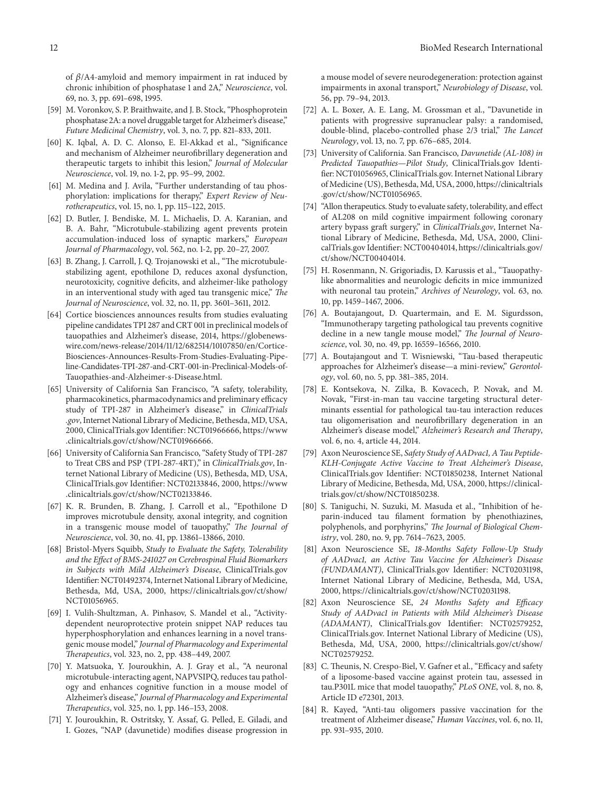of  $\beta$ /A4-amyloid and memory impairment in rat induced by chronic inhibition of phosphatase 1 and 2A," *Neuroscience*, vol. 69, no. 3, pp. 691–698, 1995.

- [59] M. Voronkov, S. P. Braithwaite, and J. B. Stock, "Phosphoprotein phosphatase 2A: a novel druggable target for Alzheimer's disease," *Future Medicinal Chemistry*, vol. 3, no. 7, pp. 821–833, 2011.
- [60] K. Iqbal, A. D. C. Alonso, E. El-Akkad et al., "Significance and mechanism of Alzheimer neurofibrillary degeneration and therapeutic targets to inhibit this lesion," *Journal of Molecular Neuroscience*, vol. 19, no. 1-2, pp. 95–99, 2002.
- [61] M. Medina and J. Avila, "Further understanding of tau phosphorylation: implications for therapy," *Expert Review of Neurotherapeutics*, vol. 15, no. 1, pp. 115–122, 2015.
- [62] D. Butler, J. Bendiske, M. L. Michaelis, D. A. Karanian, and B. A. Bahr, "Microtubule-stabilizing agent prevents protein accumulation-induced loss of synaptic markers," *European Journal of Pharmacology*, vol. 562, no. 1-2, pp. 20–27, 2007.
- [63] B. Zhang, J. Carroll, J. Q. Trojanowski et al., "The microtubulestabilizing agent, epothilone D, reduces axonal dysfunction, neurotoxicity, cognitive deficits, and alzheimer-like pathology in an interventional study with aged tau transgenic mice," *The Journal of Neuroscience*, vol. 32, no. 11, pp. 3601–3611, 2012.
- [64] Cortice biosciences announces results from studies evaluating pipeline candidates TPI 287 and CRT 001 in preclinical models of tauopathies and Alzheimer's disease, 2014, https://globenewswire.com/news-release/2014/11/12/682514/10107850/en/Cortice-Biosciences-Announces-Results-From-Studies-Evaluating-Pipeline-Candidates-TPI-287-and-CRT-001-in-Preclinical-Models-of-Tauopathies-and-Alzheimer-s-Disease.html.
- [65] University of California San Francisco, "A safety, tolerability, pharmacokinetics, pharmacodynamics and preliminary efficacy study of TPI-287 in Alzheimer's disease," in *ClinicalTrials .gov*, Internet National Library of Medicine, Bethesda, MD, USA, 2000, ClinicalTrials.gov Identifier: NCT01966666, https://www .clinicaltrials.gov/ct/show/NCT01966666.
- [66] University of California San Francisco, "Safety Study of TPI-287 to Treat CBS and PSP (TPI-287-4RT)," in *ClinicalTrials.gov*, Internet National Library of Medicine (US), Bethesda, MD, USA, ClinicalTrials.gov Identifier: NCT02133846, 2000, https://www .clinicaltrials.gov/ct/show/NCT02133846.
- [67] K. R. Brunden, B. Zhang, J. Carroll et al., "Epothilone D improves microtubule density, axonal integrity, and cognition in a transgenic mouse model of tauopathy," *The Journal of Neuroscience*, vol. 30, no. 41, pp. 13861–13866, 2010.
- [68] Bristol-Myers Squibb, *Study to Evaluate the Safety, Tolerability and the Effect of BMS-241027 on Cerebrospinal Fluid Biomarkers in Subjects with Mild Alzheimer's Disease*, ClinicalTrials.gov Identifier: NCT01492374, Internet National Library of Medicine, Bethesda, Md, USA, 2000, https://clinicaltrials.gov/ct/show/ NCT01056965.
- [69] I. Vulih-Shultzman, A. Pinhasov, S. Mandel et al., "Activitydependent neuroprotective protein snippet NAP reduces tau hyperphosphorylation and enhances learning in a novel transgenic mouse model," *Journal of Pharmacology and Experimental Therapeutics*, vol. 323, no. 2, pp. 438–449, 2007.
- [70] Y. Matsuoka, Y. Jouroukhin, A. J. Gray et al., "A neuronal microtubule-interacting agent, NAPVSIPQ, reduces tau pathology and enhances cognitive function in a mouse model of Alzheimer's disease," *Journal of Pharmacology and Experimental Therapeutics*, vol. 325, no. 1, pp. 146–153, 2008.
- [71] Y. Jouroukhin, R. Ostritsky, Y. Assaf, G. Pelled, E. Giladi, and I. Gozes, "NAP (davunetide) modifies disease progression in

a mouse model of severe neurodegeneration: protection against impairments in axonal transport," *Neurobiology of Disease*, vol. 56, pp. 79–94, 2013.

- [72] A. L. Boxer, A. E. Lang, M. Grossman et al., "Davunetide in patients with progressive supranuclear palsy: a randomised, double-blind, placebo-controlled phase 2/3 trial," *The Lancet Neurology*, vol. 13, no. 7, pp. 676–685, 2014.
- [73] University of California. San Francisco, *Davunetide (AL-108) in Predicted Tauopathies—Pilot Study*, ClinicalTrials.gov Identifier: NCT01056965, ClinicalTrials.gov. Internet National Library of Medicine (US), Bethesda, Md, USA, 2000, https://clinicaltrials .gov/ct/show/NCT01056965.
- [74] "Allon therapeutics. Study to evaluate safety, tolerability, and effect of AL208 on mild cognitive impairment following coronary artery bypass graft surgery," in *ClinicalTrials.gov*, Internet National Library of Medicine, Bethesda, Md, USA, 2000, ClinicalTrials.gov Identifier: NCT00404014, https://clinicaltrials.gov/ ct/show/NCT00404014.
- [75] H. Rosenmann, N. Grigoriadis, D. Karussis et al., "Tauopathylike abnormalities and neurologic deficits in mice immunized with neuronal tau protein," *Archives of Neurology*, vol. 63, no. 10, pp. 1459–1467, 2006.
- [76] A. Boutajangout, D. Quartermain, and E. M. Sigurdsson, "Immunotherapy targeting pathological tau prevents cognitive decline in a new tangle mouse model," *The Journal of Neuroscience*, vol. 30, no. 49, pp. 16559–16566, 2010.
- [77] A. Boutajangout and T. Wisniewski, "Tau-based therapeutic approaches for Alzheimer's disease—a mini-review," *Gerontology*, vol. 60, no. 5, pp. 381–385, 2014.
- [78] E. Kontsekova, N. Zilka, B. Kovacech, P. Novak, and M. Novak, "First-in-man tau vaccine targeting structural determinants essential for pathological tau-tau interaction reduces tau oligomerisation and neurofibrillary degeneration in an Alzheimer's disease model," *Alzheimer's Research and Therapy*, vol. 6, no. 4, article 44, 2014.
- [79] Axon Neuroscience SE, *Safety Study of AADvac1, A Tau Peptide-KLH-Conjugate Active Vaccine to Treat Alzheimer's Disease*, ClinicalTrials.gov Identifier: NCT01850238, Internet National Library of Medicine, Bethesda, Md, USA, 2000, https://clinicaltrials.gov/ct/show/NCT01850238.
- [80] S. Taniguchi, N. Suzuki, M. Masuda et al., "Inhibition of heparin-induced tau filament formation by phenothiazines, polyphenols, and porphyrins," *The Journal of Biological Chemistry*, vol. 280, no. 9, pp. 7614–7623, 2005.
- [81] Axon Neuroscience SE, *18-Months Safety Follow-Up Study of AADvac1, an Active Tau Vaccine for Alzheimer's Disease (FUNDAMANT)*, ClinicalTrials.gov Identifier: NCT02031198, Internet National Library of Medicine, Bethesda, Md, USA, 2000, https://clinicaltrials.gov/ct/show/NCT02031198.
- [82] Axon Neuroscience SE, *24 Months Safety and Efficacy Study of AADvac1 in Patients with Mild Alzheimer's Disease (ADAMANT)*, ClinicalTrials.gov Identifier: NCT02579252, ClinicalTrials.gov. Internet National Library of Medicine (US), Bethesda, Md, USA, 2000, https://clinicaltrials.gov/ct/show/ NCT02579252.
- [83] C. Theunis, N. Crespo-Biel, V. Gafner et al., "Efficacy and safety of a liposome-based vaccine against protein tau, assessed in tau.P301L mice that model tauopathy," *PLoS ONE*, vol. 8, no. 8, Article ID e72301, 2013.
- [84] R. Kayed, "Anti-tau oligomers passive vaccination for the treatment of Alzheimer disease," *Human Vaccines*, vol. 6, no. 11, pp. 931–935, 2010.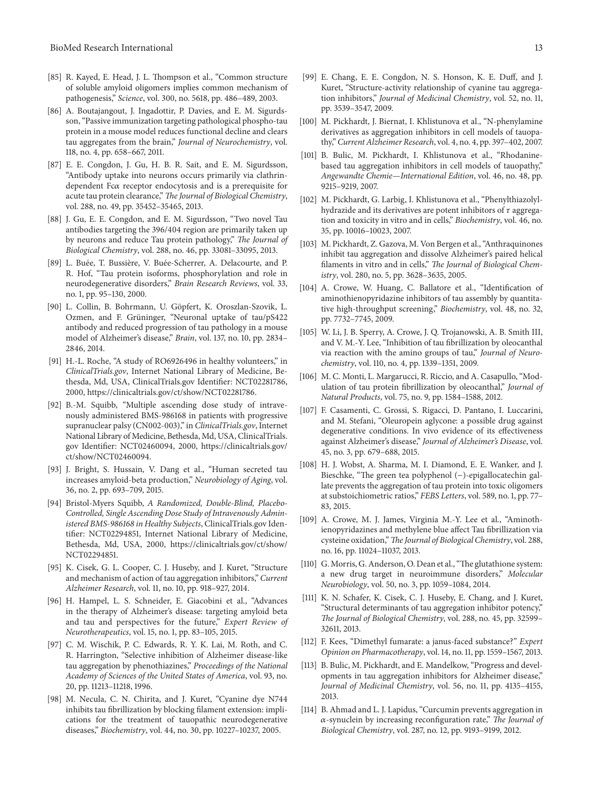- [85] R. Kayed, E. Head, J. L. Thompson et al., "Common structure of soluble amyloid oligomers implies common mechanism of pathogenesis," *Science*, vol. 300, no. 5618, pp. 486–489, 2003.
- [86] A. Boutajangout, J. Ingadottir, P. Davies, and E. M. Sigurdsson, "Passive immunization targeting pathological phospho-tau protein in a mouse model reduces functional decline and clears tau aggregates from the brain," *Journal of Neurochemistry*, vol. 118, no. 4, pp. 658–667, 2011.
- [87] E. E. Congdon, J. Gu, H. B. R. Sait, and E. M. Sigurdsson, "Antibody uptake into neurons occurs primarily via clathrindependent  $Fc\alpha$  receptor endocytosis and is a prerequisite for acute tau protein clearance," *The Journal of Biological Chemistry*, vol. 288, no. 49, pp. 35452–35465, 2013.
- [88] J. Gu, E. E. Congdon, and E. M. Sigurdsson, "Two novel Tau antibodies targeting the 396/404 region are primarily taken up by neurons and reduce Tau protein pathology," *The Journal of Biological Chemistry*, vol. 288, no. 46, pp. 33081–33095, 2013.
- [89] L. Buée, T. Bussière, V. Buée-Scherrer, A. Delacourte, and P. R. Hof, "Tau protein isoforms, phosphorylation and role in neurodegenerative disorders," *Brain Research Reviews*, vol. 33, no. 1, pp. 95–130, 2000.
- [90] L. Collin, B. Bohrmann, U. Göpfert, K. Oroszlan-Szovik, L. Ozmen, and F. Grüninger, "Neuronal uptake of tau/pS422 antibody and reduced progression of tau pathology in a mouse model of Alzheimer's disease," *Brain*, vol. 137, no. 10, pp. 2834– 2846, 2014.
- [91] H.-L. Roche, "A study of RO6926496 in healthy volunteers," in *ClinicalTrials.gov*, Internet National Library of Medicine, Bethesda, Md, USA, ClinicalTrials.gov Identifier: NCT02281786, 2000, https://clinicaltrials.gov/ct/show/NCT02281786.
- [92] B.-M. Squibb, "Multiple ascending dose study of intravenously administered BMS-986168 in patients with progressive supranuclear palsy (CN002-003)," in *ClinicalTrials.gov*, Internet National Library of Medicine, Bethesda, Md, USA, ClinicalTrials. gov Identifier: NCT02460094, 2000, https://clinicaltrials.gov/ ct/show/NCT02460094.
- [93] J. Bright, S. Hussain, V. Dang et al., "Human secreted tau increases amyloid-beta production," *Neurobiology of Aging*, vol. 36, no. 2, pp. 693–709, 2015.
- [94] Bristol-Myers Squibb, *A Randomized, Double-Blind, Placebo-Controlled, Single Ascending Dose Study of Intravenously Administered BMS-986168 in Healthy Subjects*, ClinicalTrials.gov Identifier: NCT02294851, Internet National Library of Medicine, Bethesda, Md, USA, 2000, https://clinicaltrials.gov/ct/show/ NCT02294851.
- [95] K. Cisek, G. L. Cooper, C. J. Huseby, and J. Kuret, "Structure and mechanism of action of tau aggregation inhibitors," *Current Alzheimer Research*, vol. 11, no. 10, pp. 918–927, 2014.
- [96] H. Hampel, L. S. Schneider, E. Giacobini et al., "Advances in the therapy of Alzheimer's disease: targeting amyloid beta and tau and perspectives for the future," *Expert Review of Neurotherapeutics*, vol. 15, no. 1, pp. 83–105, 2015.
- [97] C. M. Wischik, P. C. Edwards, R. Y. K. Lai, M. Roth, and C. R. Harrington, "Selective inhibition of Alzheimer disease-like tau aggregation by phenothiazines," *Proceedings of the National Academy of Sciences of the United States of America*, vol. 93, no. 20, pp. 11213–11218, 1996.
- [98] M. Necula, C. N. Chirita, and J. Kuret, "Cyanine dye N744 inhibits tau fibrillization by blocking filament extension: implications for the treatment of tauopathic neurodegenerative diseases," *Biochemistry*, vol. 44, no. 30, pp. 10227–10237, 2005.
- [99] E. Chang, E. E. Congdon, N. S. Honson, K. E. Duff, and J. Kuret, "Structure-activity relationship of cyanine tau aggregation inhibitors," *Journal of Medicinal Chemistry*, vol. 52, no. 11, pp. 3539–3547, 2009.
- [100] M. Pickhardt, J. Biernat, I. Khlistunova et al., "N-phenylamine derivatives as aggregation inhibitors in cell models of tauopathy," *Current Alzheimer Research*, vol. 4, no. 4, pp. 397–402, 2007.
- [101] B. Bulic, M. Pickhardt, I. Khlistunova et al., "Rhodaninebased tau aggregation inhibitors in cell models of tauopathy," *Angewandte Chemie—International Edition*, vol. 46, no. 48, pp. 9215–9219, 2007.
- [102] M. Pickhardt, G. Larbig, I. Khlistunova et al., "Phenylthiazolylhydrazide and its derivatives are potent inhibitors of  $\tau$  aggregation and toxicity in vitro and in cells," *Biochemistry*, vol. 46, no. 35, pp. 10016–10023, 2007.
- [103] M. Pickhardt, Z. Gazova, M. Von Bergen et al., "Anthraquinones inhibit tau aggregation and dissolve Alzheimer's paired helical filaments in vitro and in cells," *The Journal of Biological Chemistry*, vol. 280, no. 5, pp. 3628–3635, 2005.
- [104] A. Crowe, W. Huang, C. Ballatore et al., "Identification of aminothienopyridazine inhibitors of tau assembly by quantitative high-throughput screening," *Biochemistry*, vol. 48, no. 32, pp. 7732–7745, 2009.
- [105] W. Li, J. B. Sperry, A. Crowe, J. Q. Trojanowski, A. B. Smith III, and V. M.-Y. Lee, "Inhibition of tau fibrillization by oleocanthal via reaction with the amino groups of tau," *Journal of Neurochemistry*, vol. 110, no. 4, pp. 1339–1351, 2009.
- [106] M. C. Monti, L. Margarucci, R. Riccio, and A. Casapullo, "Modulation of tau protein fibrillization by oleocanthal," *Journal of Natural Products*, vol. 75, no. 9, pp. 1584–1588, 2012.
- [107] F. Casamenti, C. Grossi, S. Rigacci, D. Pantano, I. Luccarini, and M. Stefani, "Oleuropein aglycone: a possible drug against degenerative conditions. In vivo evidence of its effectiveness against Alzheimer's disease," *Journal of Alzheimer's Disease*, vol. 45, no. 3, pp. 679–688, 2015.
- [108] H. J. Wobst, A. Sharma, M. I. Diamond, E. E. Wanker, and J. Bieschke, "The green tea polyphenol (−)-epigallocatechin gallate prevents the aggregation of tau protein into toxic oligomers at substoichiometric ratios," *FEBS Letters*, vol. 589, no. 1, pp. 77– 83, 2015.
- [109] A. Crowe, M. J. James, Virginia M.-Y. Lee et al., "Aminothienopyridazines and methylene blue affect Tau fibrillization via cysteine oxidation,"*The Journal of Biological Chemistry*, vol. 288, no. 16, pp. 11024–11037, 2013.
- [110] G. Morris, G. Anderson, O. Dean et al., "The glutathione system: a new drug target in neuroimmune disorders," *Molecular Neurobiology*, vol. 50, no. 3, pp. 1059–1084, 2014.
- [111] K. N. Schafer, K. Cisek, C. J. Huseby, E. Chang, and J. Kuret, "Structural determinants of tau aggregation inhibitor potency," *The Journal of Biological Chemistry*, vol. 288, no. 45, pp. 32599– 32611, 2013.
- [112] F. Kees, "Dimethyl fumarate: a janus-faced substance?" *Expert Opinion on Pharmacotherapy*, vol. 14, no. 11, pp. 1559–1567, 2013.
- [113] B. Bulic, M. Pickhardt, and E. Mandelkow, "Progress and developments in tau aggregation inhibitors for Alzheimer disease," *Journal of Medicinal Chemistry*, vol. 56, no. 11, pp. 4135–4155, 2013.
- [114] B. Ahmad and L. J. Lapidus, "Curcumin prevents aggregation in -synuclein by increasing reconfiguration rate," *The Journal of Biological Chemistry*, vol. 287, no. 12, pp. 9193–9199, 2012.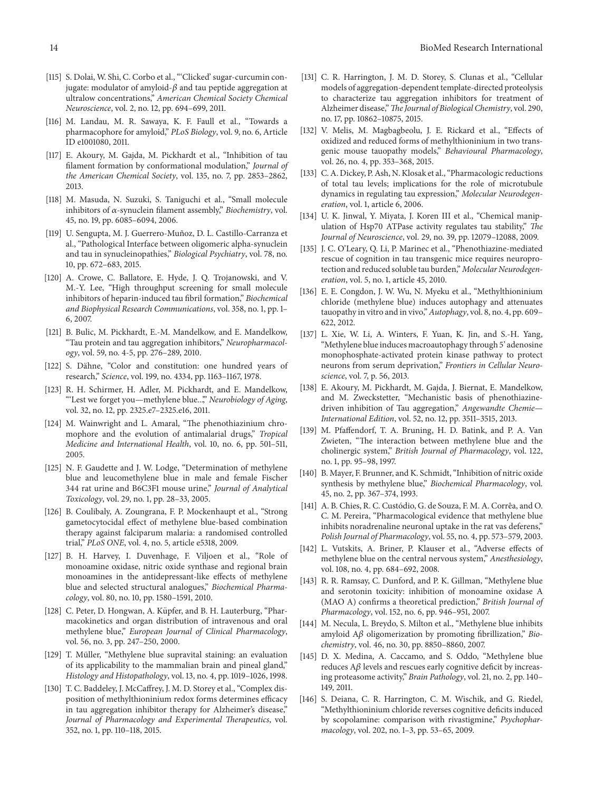- [115] S. Dolai, W. Shi, C. Corbo et al., "'Clicked' sugar-curcumin conjugate: modulator of amyloid- $\beta$  and tau peptide aggregation at ultralow concentrations," *American Chemical Society Chemical Neuroscience*, vol. 2, no. 12, pp. 694–699, 2011.
- [116] M. Landau, M. R. Sawaya, K. F. Faull et al., "Towards a pharmacophore for amyloid," *PLoS Biology*, vol. 9, no. 6, Article ID e1001080, 2011.
- [117] E. Akoury, M. Gajda, M. Pickhardt et al., "Inhibition of tau filament formation by conformational modulation," *Journal of the American Chemical Society*, vol. 135, no. 7, pp. 2853–2862, 2013.
- [118] M. Masuda, N. Suzuki, S. Taniguchi et al., "Small molecule inhibitors of  $\alpha$ -synuclein filament assembly," *Biochemistry*, vol. 45, no. 19, pp. 6085–6094, 2006.
- [119] U. Sengupta, M. J. Guerrero-Muñoz, D. L. Castillo-Carranza et al., "Pathological Interface between oligomeric alpha-synuclein and tau in synucleinopathies," *Biological Psychiatry*, vol. 78, no. 10, pp. 672–683, 2015.
- [120] A. Crowe, C. Ballatore, E. Hyde, J. Q. Trojanowski, and V. M.-Y. Lee, "High throughput screening for small molecule inhibitors of heparin-induced tau fibril formation," *Biochemical and Biophysical Research Communications*, vol. 358, no. 1, pp. 1– 6, 2007.
- [121] B. Bulic, M. Pickhardt, E.-M. Mandelkow, and E. Mandelkow, "Tau protein and tau aggregation inhibitors," *Neuropharmacology*, vol. 59, no. 4-5, pp. 276–289, 2010.
- [122] S. Dähne, "Color and constitution: one hundred years of research," *Science*, vol. 199, no. 4334, pp. 1163–1167, 1978.
- [123] R. H. Schirmer, H. Adler, M. Pickhardt, and E. Mandelkow, "'Lest we forget you—methylene blue...'," *Neurobiology of Aging*, vol. 32, no. 12, pp. 2325.e7–2325.e16, 2011.
- [124] M. Wainwright and L. Amaral, "The phenothiazinium chromophore and the evolution of antimalarial drugs," *Tropical Medicine and International Health*, vol. 10, no. 6, pp. 501–511, 2005.
- [125] N. F. Gaudette and J. W. Lodge, "Determination of methylene blue and leucomethylene blue in male and female Fischer 344 rat urine and B6C3F1 mouse urine," *Journal of Analytical Toxicology*, vol. 29, no. 1, pp. 28–33, 2005.
- [126] B. Coulibaly, A. Zoungrana, F. P. Mockenhaupt et al., "Strong gametocytocidal effect of methylene blue-based combination therapy against falciparum malaria: a randomised controlled trial," *PLoS ONE*, vol. 4, no. 5, article e5318, 2009.
- [127] B. H. Harvey, I. Duvenhage, F. Viljoen et al., "Role of monoamine oxidase, nitric oxide synthase and regional brain monoamines in the antidepressant-like effects of methylene blue and selected structural analogues," *Biochemical Pharmacology*, vol. 80, no. 10, pp. 1580–1591, 2010.
- [128] C. Peter, D. Hongwan, A. Küpfer, and B. H. Lauterburg, "Pharmacokinetics and organ distribution of intravenous and oral methylene blue," *European Journal of Clinical Pharmacology*, vol. 56, no. 3, pp. 247–250, 2000.
- [129] T. Müller, "Methylene blue supravital staining: an evaluation of its applicability to the mammalian brain and pineal gland," *Histology and Histopathology*, vol. 13, no. 4, pp. 1019–1026, 1998.
- [130] T. C. Baddeley, J. McCaffrey, J. M. D. Storey et al., "Complex disposition of methylthioninium redox forms determines efficacy in tau aggregation inhibitor therapy for Alzheimer's disease," *Journal of Pharmacology and Experimental Therapeutics*, vol. 352, no. 1, pp. 110–118, 2015.
- [131] C. R. Harrington, J. M. D. Storey, S. Clunas et al., "Cellular models of aggregation-dependent template-directed proteolysis to characterize tau aggregation inhibitors for treatment of Alzheimer disease,"*The Journal of Biological Chemistry*, vol. 290, no. 17, pp. 10862–10875, 2015.
- [132] V. Melis, M. Magbagbeolu, J. E. Rickard et al., "Effects of oxidized and reduced forms of methylthioninium in two transgenic mouse tauopathy models," *Behavioural Pharmacology*, vol. 26, no. 4, pp. 353–368, 2015.
- [133] C. A. Dickey, P. Ash, N. Klosak et al., "Pharmacologic reductions of total tau levels; implications for the role of microtubule dynamics in regulating tau expression," *Molecular Neurodegeneration*, vol. 1, article 6, 2006.
- [134] U. K. Jinwal, Y. Miyata, J. Koren III et al., "Chemical manipulation of Hsp70 ATPase activity regulates tau stability," *The Journal of Neuroscience*, vol. 29, no. 39, pp. 12079–12088, 2009.
- [135] J. C. O'Leary, Q. Li, P. Marinec et al., "Phenothiazine-mediated rescue of cognition in tau transgenic mice requires neuroprotection and reduced soluble tau burden," *Molecular Neurodegeneration*, vol. 5, no. 1, article 45, 2010.
- [136] E. E. Congdon, J. W. Wu, N. Myeku et al., "Methylthioninium chloride (methylene blue) induces autophagy and attenuates tauopathy in vitro and in vivo,"*Autophagy*, vol. 8, no. 4, pp. 609– 622, 2012.
- [137] L. Xie, W. Li, A. Winters, F. Yuan, K. Jin, and S.-H. Yang, "Methylene blue induces macroautophagy through 5' adenosine monophosphate-activated protein kinase pathway to protect neurons from serum deprivation," *Frontiers in Cellular Neuroscience*, vol. 7, p. 56, 2013.
- [138] E. Akoury, M. Pickhardt, M. Gajda, J. Biernat, E. Mandelkow, and M. Zweckstetter, "Mechanistic basis of phenothiazinedriven inhibition of Tau aggregation," *Angewandte Chemie— International Edition*, vol. 52, no. 12, pp. 3511–3515, 2013.
- [139] M. Pfaffendorf, T. A. Bruning, H. D. Batink, and P. A. Van Zwieten, "The interaction between methylene blue and the cholinergic system," *British Journal of Pharmacology*, vol. 122, no. 1, pp. 95–98, 1997.
- [140] B. Mayer, F. Brunner, and K. Schmidt, "Inhibition of nitric oxide synthesis by methylene blue," *Biochemical Pharmacology*, vol. 45, no. 2, pp. 367–374, 1993.
- [141] A. B. Chies, R. C. Custódio, G. de Souza, F. M. A. Corrêa, and O. C. M. Pereira, "Pharmacological evidence that methylene blue inhibits noradrenaline neuronal uptake in the rat vas deferens," *Polish Journal of Pharmacology*, vol. 55, no. 4, pp. 573–579, 2003.
- [142] L. Vutskits, A. Briner, P. Klauser et al., "Adverse effects of methylene blue on the central nervous system," *Anesthesiology*, vol. 108, no. 4, pp. 684–692, 2008.
- [143] R. R. Ramsay, C. Dunford, and P. K. Gillman, "Methylene blue and serotonin toxicity: inhibition of monoamine oxidase A (MAO A) confirms a theoretical prediction," *British Journal of Pharmacology*, vol. 152, no. 6, pp. 946–951, 2007.
- [144] M. Necula, L. Breydo, S. Milton et al., "Methylene blue inhibits amyloid A $\beta$  oligomerization by promoting fibrillization," *Biochemistry*, vol. 46, no. 30, pp. 8850–8860, 2007.
- [145] D. X. Medina, A. Caccamo, and S. Oddo, "Methylene blue reduces  $A\beta$  levels and rescues early cognitive deficit by increasing proteasome activity," *Brain Pathology*, vol. 21, no. 2, pp. 140– 149, 2011.
- [146] S. Deiana, C. R. Harrington, C. M. Wischik, and G. Riedel, "Methylthioninium chloride reverses cognitive deficits induced by scopolamine: comparison with rivastigmine," *Psychopharmacology*, vol. 202, no. 1–3, pp. 53–65, 2009.